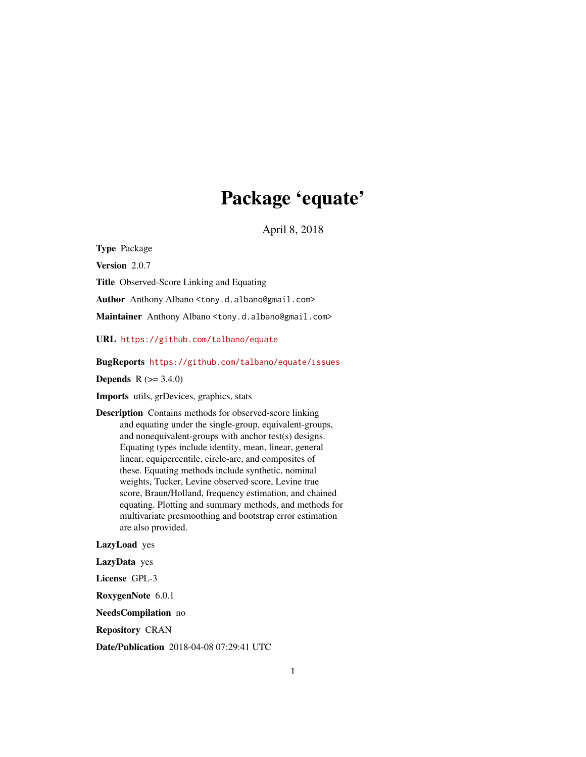# Package 'equate'

April 8, 2018

<span id="page-0-0"></span>Type Package

Version 2.0.7

Title Observed-Score Linking and Equating

Author Anthony Albano <tony.d.albano@gmail.com>

Maintainer Anthony Albano <tony.d.albano@gmail.com>

URL <https://github.com/talbano/equate>

BugReports <https://github.com/talbano/equate/issues>

**Depends** R  $(>= 3.4.0)$ 

Imports utils, grDevices, graphics, stats

Description Contains methods for observed-score linking and equating under the single-group, equivalent-groups, and nonequivalent-groups with anchor test(s) designs. Equating types include identity, mean, linear, general linear, equipercentile, circle-arc, and composites of these. Equating methods include synthetic, nominal weights, Tucker, Levine observed score, Levine true score, Braun/Holland, frequency estimation, and chained equating. Plotting and summary methods, and methods for multivariate presmoothing and bootstrap error estimation are also provided.

LazyLoad yes

LazyData yes

License GPL-3

RoxygenNote 6.0.1

NeedsCompilation no

Repository CRAN

Date/Publication 2018-04-08 07:29:41 UTC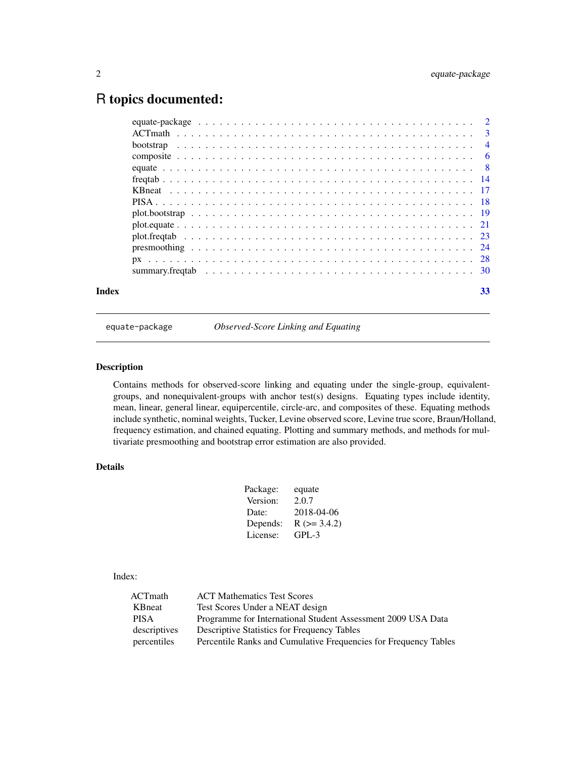# <span id="page-1-0"></span>R topics documented:

| Index | 33 |  |
|-------|----|--|

equate-package *Observed-Score Linking and Equating*

# Description

Contains methods for observed-score linking and equating under the single-group, equivalentgroups, and nonequivalent-groups with anchor test(s) designs. Equating types include identity, mean, linear, general linear, equipercentile, circle-arc, and composites of these. Equating methods include synthetic, nominal weights, Tucker, Levine observed score, Levine true score, Braun/Holland, frequency estimation, and chained equating. Plotting and summary methods, and methods for multivariate presmoothing and bootstrap error estimation are also provided.

# Details

| Package: | equate            |
|----------|-------------------|
| Version: | 2.0.7             |
| Date:    | 2018-04-06        |
| Depends: | $R$ ( $>=$ 3.4.2) |
| License: | GPL-3             |

# Index:

| ACTmath      | <b>ACT Mathematics Test Scores</b>                               |
|--------------|------------------------------------------------------------------|
| KBneat       | Test Scores Under a NEAT design                                  |
| <b>PISA</b>  | Programme for International Student Assessment 2009 USA Data     |
| descriptives | <b>Descriptive Statistics for Frequency Tables</b>               |
| percentiles  | Percentile Ranks and Cumulative Frequencies for Frequency Tables |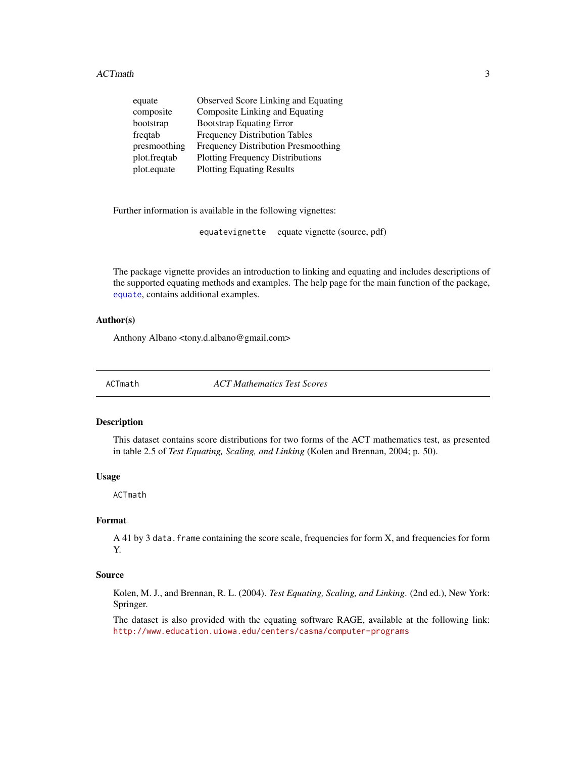<span id="page-2-0"></span>

| equate       | Observed Score Linking and Equating        |
|--------------|--------------------------------------------|
| composite    | Composite Linking and Equating             |
| bootstrap    | <b>Bootstrap Equating Error</b>            |
| freqtab      | <b>Frequency Distribution Tables</b>       |
| presmoothing | <b>Frequency Distribution Presmoothing</b> |
| plot.freqtab | <b>Plotting Frequency Distributions</b>    |
| plot.equate  | <b>Plotting Equating Results</b>           |
|              |                                            |

Further information is available in the following vignettes:

equatevignette equate vignette (source, pdf)

The package vignette provides an introduction to linking and equating and includes descriptions of the supported equating methods and examples. The help page for the main function of the package, [equate](#page-7-1), contains additional examples.

#### Author(s)

Anthony Albano <tony.d.albano@gmail.com>

ACTmath *ACT Mathematics Test Scores*

#### Description

This dataset contains score distributions for two forms of the ACT mathematics test, as presented in table 2.5 of *Test Equating, Scaling, and Linking* (Kolen and Brennan, 2004; p. 50).

#### Usage

ACTmath

# Format

A 41 by 3 data. frame containing the score scale, frequencies for form X, and frequencies for form Y.

#### Source

Kolen, M. J., and Brennan, R. L. (2004). *Test Equating, Scaling, and Linking*. (2nd ed.), New York: Springer.

The dataset is also provided with the equating software RAGE, available at the following link: <http://www.education.uiowa.edu/centers/casma/computer-programs>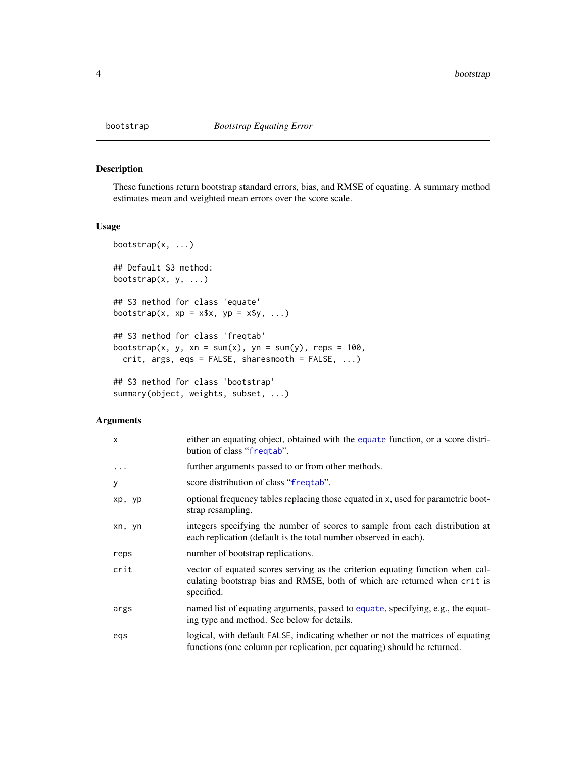<span id="page-3-1"></span><span id="page-3-0"></span>

# Description

These functions return bootstrap standard errors, bias, and RMSE of equating. A summary method estimates mean and weighted mean errors over the score scale.

# Usage

```
bootstrap(x, ...)
## Default S3 method:
bootstrap(x, y, \ldots)## S3 method for class 'equate'
bootstrap(x, xp = x*x, yp = xsy, ...)
## S3 method for class 'freqtab'
bootstrap(x, y, xn = sum(x), yn = sum(y), reps = 100,
  crit, args, eqs = FALSE, sharesmooth = FALSE, ...)
## S3 method for class 'bootstrap'
summary(object, weights, subset, ...)
```
# Arguments

| X          | either an equating object, obtained with the equate function, or a score distri-<br>bution of class "freqtab".                                                           |
|------------|--------------------------------------------------------------------------------------------------------------------------------------------------------------------------|
| $\ddots$ . | further arguments passed to or from other methods.                                                                                                                       |
| y          | score distribution of class "frequal".                                                                                                                                   |
| xp, yp     | optional frequency tables replacing those equated in x, used for parametric boot-<br>strap resampling.                                                                   |
| xn, yn     | integers specifying the number of scores to sample from each distribution at<br>each replication (default is the total number observed in each).                         |
| reps       | number of bootstrap replications.                                                                                                                                        |
| crit       | vector of equated scores serving as the criterion equating function when cal-<br>culating bootstrap bias and RMSE, both of which are returned when crit is<br>specified. |
| args       | named list of equating arguments, passed to equate, specifying, e.g., the equat-<br>ing type and method. See below for details.                                          |
| egs        | logical, with default FALSE, indicating whether or not the matrices of equating<br>functions (one column per replication, per equating) should be returned.              |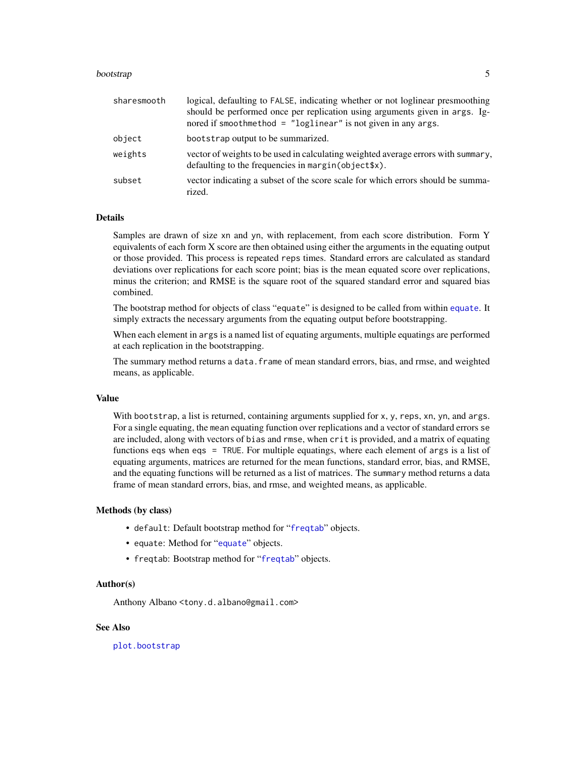#### <span id="page-4-0"></span>bootstrap 500 to 100 million to 100 million to 100 million to 100 million to 100 million to 100 million to 100

| sharesmooth | logical, defaulting to FALSE, indicating whether or not loglinear presmoothing<br>should be performed once per replication using arguments given in args. Ig-<br>nored if smoothmethod = $"loglinear"$ is not given in any args. |
|-------------|----------------------------------------------------------------------------------------------------------------------------------------------------------------------------------------------------------------------------------|
| object      | bootstrap output to be summarized.                                                                                                                                                                                               |
| weights     | vector of weights to be used in calculating weighted average errors with summary,<br>defaulting to the frequencies in margin(object\$x).                                                                                         |
| subset      | vector indicating a subset of the score scale for which errors should be summa-<br>rized.                                                                                                                                        |

#### Details

Samples are drawn of size xn and yn, with replacement, from each score distribution. Form Y equivalents of each form X score are then obtained using either the arguments in the equating output or those provided. This process is repeated reps times. Standard errors are calculated as standard deviations over replications for each score point; bias is the mean equated score over replications, minus the criterion; and RMSE is the square root of the squared standard error and squared bias combined.

The bootstrap method for objects of class "equate" is designed to be called from within [equate](#page-7-1). It simply extracts the necessary arguments from the equating output before bootstrapping.

When each element in args is a named list of equating arguments, multiple equatings are performed at each replication in the bootstrapping.

The summary method returns a data.frame of mean standard errors, bias, and rmse, and weighted means, as applicable.

#### Value

With bootstrap, a list is returned, containing arguments supplied for x, y, reps, xn, yn, and args. For a single equating, the mean equating function over replications and a vector of standard errors se are included, along with vectors of bias and rmse, when crit is provided, and a matrix of equating functions eqs when eqs = TRUE. For multiple equatings, where each element of args is a list of equating arguments, matrices are returned for the mean functions, standard error, bias, and RMSE, and the equating functions will be returned as a list of matrices. The summary method returns a data frame of mean standard errors, bias, and rmse, and weighted means, as applicable.

### Methods (by class)

- default: Default bootstrap method for "[freqtab](#page-13-1)" objects.
- [equate](#page-7-1): Method for "equate" objects.
- freqtab: Bootstrap method for "[freqtab](#page-13-1)" objects.

#### Author(s)

Anthony Albano <tony.d.albano@gmail.com>

#### See Also

[plot.bootstrap](#page-18-1)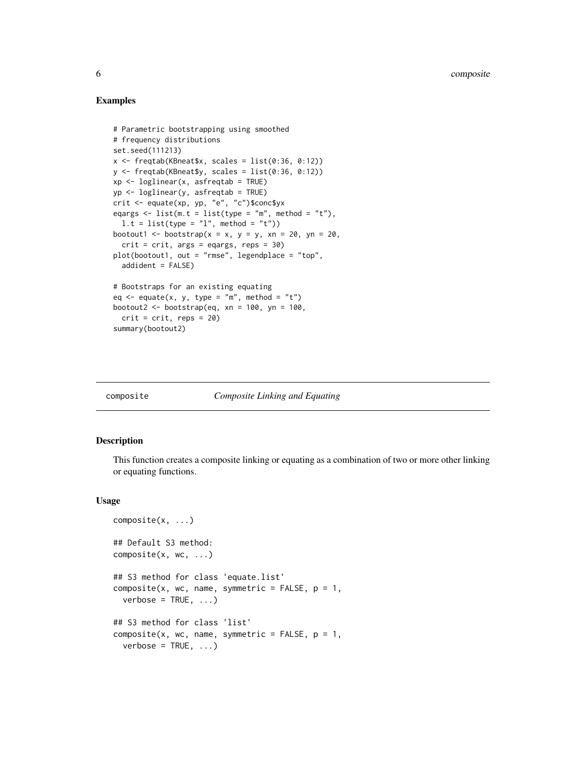#### Examples

```
# Parametric bootstrapping using smoothed
# frequency distributions
set.seed(111213)
x \leftarrow freqtab(KBneat$x, scales = list(0:36, 0:12))
y \le- freqtab(KBneat$y, scales = list(0:36, 0:12))
xp \leftarrow loglinear(x, asfreqtab = TRUE)
yp <- loglinear(y, asfreqtab = TRUE)
crit <- equate(xp, yp, "e", "c")$conc$yx
eqargs \le list(m.t = list(type = "m", method = "t"),
  l.t = list(type = "l", method = "t"))bootout1 <- bootstrap(x = x, y = y, xn = 20, yn = 20,
  crit = crit, args = eqargs, reps = 30)
plot(bootout1, out = "rmse", legendplace = "top",
  addident = FALSE)
# Bootstraps for an existing equating
eq \leq equate(x, y, type = "m", method = "t")
bootout2 <- bootstrap(eq, xn = 100, yn = 100,
  crit = crit, reps = 20)
summary(bootout2)
```
#### composite *Composite Linking and Equating*

### Description

This function creates a composite linking or equating as a combination of two or more other linking or equating functions.

#### Usage

```
composite(x, ...)
## Default S3 method:
composite(x, wc, ...)
## S3 method for class 'equate.list'
composite(x, wc, name, symmetric = FALSE, p = 1,
  verbose = TRUE, ...)## S3 method for class 'list'
composite(x, wc, name, symmetric = FALSE, p = 1,verbose = TRUE, ...)
```
<span id="page-5-0"></span>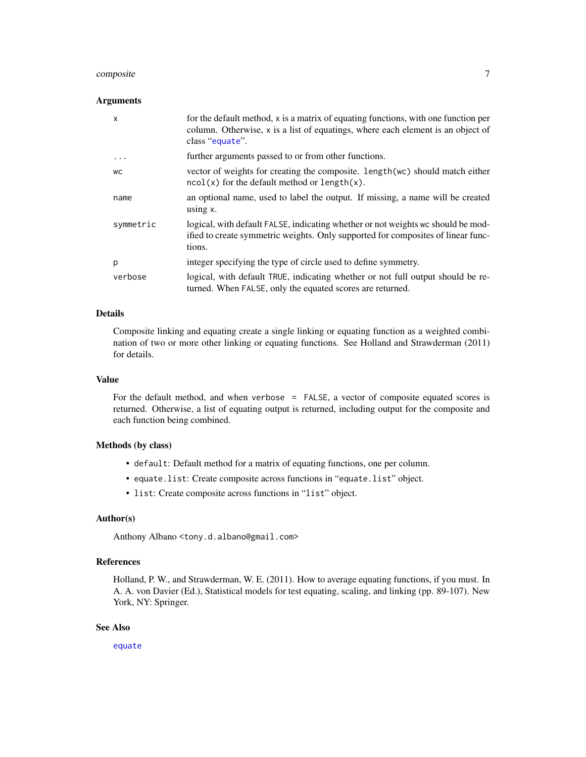# <span id="page-6-0"></span>composite 7

#### Arguments

| X         | for the default method, x is a matrix of equating functions, with one function per<br>column. Otherwise, x is a list of equatings, where each element is an object of<br>class "equate". |
|-----------|------------------------------------------------------------------------------------------------------------------------------------------------------------------------------------------|
| $\ddotsc$ | further arguments passed to or from other functions.                                                                                                                                     |
| WС        | vector of weights for creating the composite. Length (wc) should match either<br>$ncol(x)$ for the default method or length $(x)$ .                                                      |
| name      | an optional name, used to label the output. If missing, a name will be created<br>using $x$ .                                                                                            |
| symmetric | logical, with default FALSE, indicating whether or not weights we should be mod-<br>ified to create symmetric weights. Only supported for composites of linear func-<br>tions.           |
| p         | integer specifying the type of circle used to define symmetry.                                                                                                                           |
| verbose   | logical, with default TRUE, indicating whether or not full output should be re-<br>turned. When FALSE, only the equated scores are returned.                                             |

### Details

Composite linking and equating create a single linking or equating function as a weighted combination of two or more other linking or equating functions. See Holland and Strawderman (2011) for details.

### Value

For the default method, and when verbose = FALSE, a vector of composite equated scores is returned. Otherwise, a list of equating output is returned, including output for the composite and each function being combined.

#### Methods (by class)

- default: Default method for a matrix of equating functions, one per column.
- equate.list: Create composite across functions in "equate.list" object.
- list: Create composite across functions in "list" object.

# Author(s)

Anthony Albano <tony.d.albano@gmail.com>

# References

Holland, P. W., and Strawderman, W. E. (2011). How to average equating functions, if you must. In A. A. von Davier (Ed.), Statistical models for test equating, scaling, and linking (pp. 89-107). New York, NY: Springer.

### See Also

[equate](#page-7-1)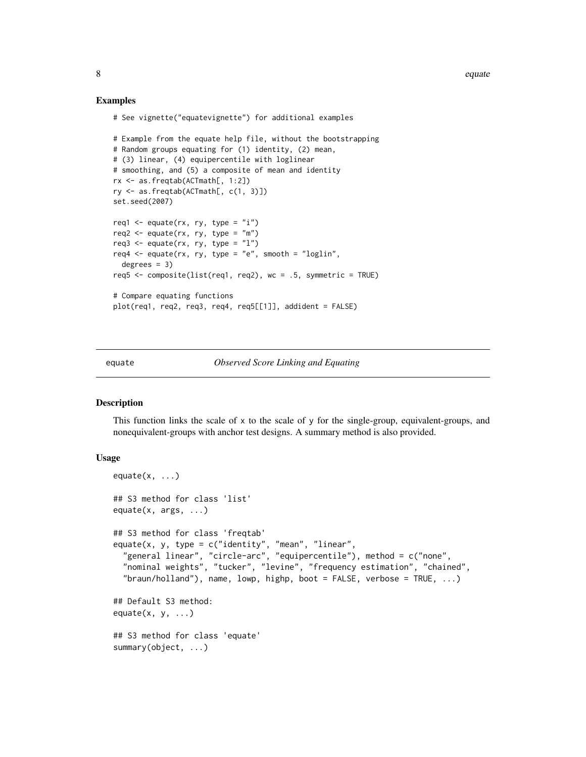#### Examples

```
# See vignette("equatevignette") for additional examples
# Example from the equate help file, without the bootstrapping
# Random groups equating for (1) identity, (2) mean,
# (3) linear, (4) equipercentile with loglinear
# smoothing, and (5) a composite of mean and identity
rx <- as.freqtab(ACTmath[, 1:2])
ry <- as.freqtab(ACTmath[, c(1, 3)])
set.seed(2007)
req1 \leq equate(rx, ry, type = "i")
req2 \leq equate(rx, ry, type = "m")
req3 \leq equate(rx, ry, type = "l")
req4 \leq equate(rx, ry, type = "e", smooth = "loglin",
 degrees = 3)
req5 <- composite(list(req1, req2), wc = .5, symmetric = TRUE)
# Compare equating functions
plot(req1, req2, req3, req4, req5[[1]], addident = FALSE)
```
<span id="page-7-1"></span>equate *Observed Score Linking and Equating*

#### <span id="page-7-2"></span>Description

This function links the scale of  $x$  to the scale of  $y$  for the single-group, equivalent-groups, and nonequivalent-groups with anchor test designs. A summary method is also provided.

#### Usage

```
equate(x, \ldots)## S3 method for class 'list'
equate(x, args, ...)
## S3 method for class 'freqtab'
equate(x, y, type = c("identity", "mean", "linear",
  "general linear", "circle-arc", "equipercentile"), method = c("none",
  "nominal weights", "tucker", "levine", "frequency estimation", "chained",
  "braun/holland"), name, lowp, highp, boot = FALSE, verbose = TRUE, \ldots)
## Default S3 method:
equate(x, y, \ldots)## S3 method for class 'equate'
summary(object, ...)
```
<span id="page-7-0"></span>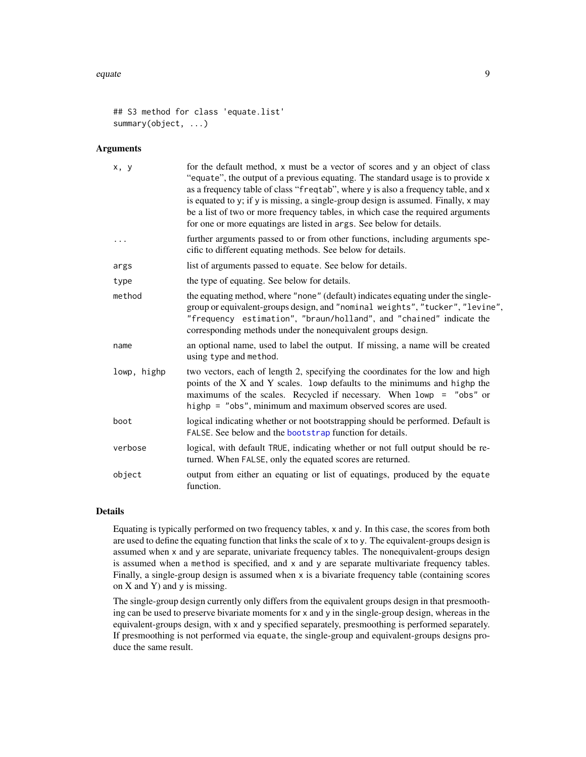#### <span id="page-8-0"></span>equate the set of the set of the set of the set of the set of the set of the set of the set of the set of the set of the set of the set of the set of the set of the set of the set of the set of the set of the set of the se

```
## S3 method for class 'equate.list'
summary(object, ...)
```
#### Arguments

| x, y        | for the default method, x must be a vector of scores and y an object of class<br>"equate", the output of a previous equating. The standard usage is to provide x<br>as a frequency table of class "freqtab", where y is also a frequency table, and x<br>is equated to y; if y is missing, a single-group design is assumed. Finally, x may<br>be a list of two or more frequency tables, in which case the required arguments<br>for one or more equatings are listed in args. See below for details. |
|-------------|--------------------------------------------------------------------------------------------------------------------------------------------------------------------------------------------------------------------------------------------------------------------------------------------------------------------------------------------------------------------------------------------------------------------------------------------------------------------------------------------------------|
|             | further arguments passed to or from other functions, including arguments spe-<br>cific to different equating methods. See below for details.                                                                                                                                                                                                                                                                                                                                                           |
| args        | list of arguments passed to equate. See below for details.                                                                                                                                                                                                                                                                                                                                                                                                                                             |
| type        | the type of equating. See below for details.                                                                                                                                                                                                                                                                                                                                                                                                                                                           |
| method      | the equating method, where "none" (default) indicates equating under the single-<br>group or equivalent-groups design, and "nominal weights", "tucker", "levine",<br>"frequency estimation", "braun/holland", and "chained" indicate the<br>corresponding methods under the nonequivalent groups design.                                                                                                                                                                                               |
| name        | an optional name, used to label the output. If missing, a name will be created<br>using type and method.                                                                                                                                                                                                                                                                                                                                                                                               |
| lowp, highp | two vectors, each of length 2, specifying the coordinates for the low and high<br>points of the X and Y scales. lowp defaults to the minimums and highp the<br>maximums of the scales. Recycled if necessary. When lowp = "obs" or<br>highp = "obs", minimum and maximum observed scores are used.                                                                                                                                                                                                     |
| boot        | logical indicating whether or not bootstrapping should be performed. Default is<br>FALSE. See below and the bootstrap function for details.                                                                                                                                                                                                                                                                                                                                                            |
| verbose     | logical, with default TRUE, indicating whether or not full output should be re-<br>turned. When FALSE, only the equated scores are returned.                                                                                                                                                                                                                                                                                                                                                           |
| object      | output from either an equating or list of equatings, produced by the equate<br>function.                                                                                                                                                                                                                                                                                                                                                                                                               |

# Details

Equating is typically performed on two frequency tables, x and y. In this case, the scores from both are used to define the equating function that links the scale of  $\times$  to  $y$ . The equivalent-groups design is assumed when x and y are separate, univariate frequency tables. The nonequivalent-groups design is assumed when a method is specified, and x and y are separate multivariate frequency tables. Finally, a single-group design is assumed when x is a bivariate frequency table (containing scores on  $X$  and  $Y$ ) and  $y$  is missing.

The single-group design currently only differs from the equivalent groups design in that presmoothing can be used to preserve bivariate moments for x and y in the single-group design, whereas in the equivalent-groups design, with x and y specified separately, presmoothing is performed separately. If presmoothing is not performed via equate, the single-group and equivalent-groups designs produce the same result.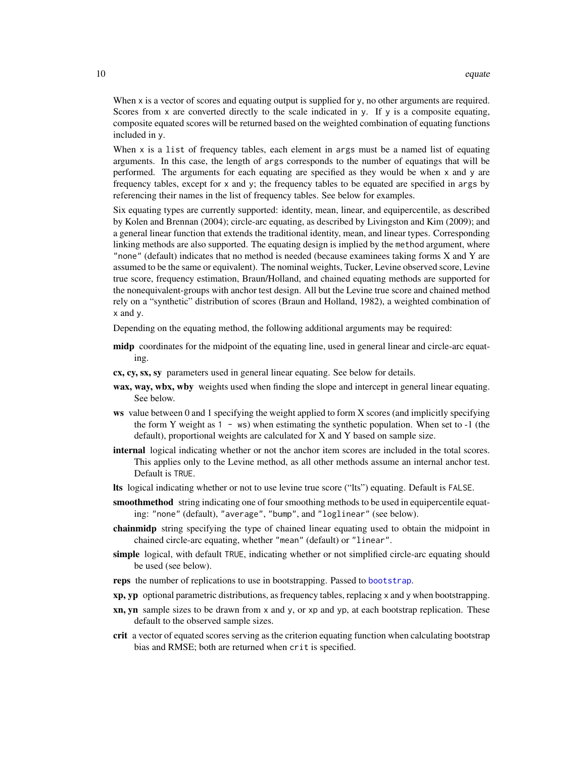When x is a vector of scores and equating output is supplied for y, no other arguments are required. Scores from x are converted directly to the scale indicated in y. If y is a composite equating, composite equated scores will be returned based on the weighted combination of equating functions included in y.

When  $x$  is a list of frequency tables, each element in args must be a named list of equating arguments. In this case, the length of args corresponds to the number of equatings that will be performed. The arguments for each equating are specified as they would be when x and y are frequency tables, except for x and y; the frequency tables to be equated are specified in args by referencing their names in the list of frequency tables. See below for examples.

Six equating types are currently supported: identity, mean, linear, and equipercentile, as described by Kolen and Brennan (2004); circle-arc equating, as described by Livingston and Kim (2009); and a general linear function that extends the traditional identity, mean, and linear types. Corresponding linking methods are also supported. The equating design is implied by the method argument, where "none" (default) indicates that no method is needed (because examinees taking forms X and Y are assumed to be the same or equivalent). The nominal weights, Tucker, Levine observed score, Levine true score, frequency estimation, Braun/Holland, and chained equating methods are supported for the nonequivalent-groups with anchor test design. All but the Levine true score and chained method rely on a "synthetic" distribution of scores (Braun and Holland, 1982), a weighted combination of x and y.

Depending on the equating method, the following additional arguments may be required:

- midp coordinates for the midpoint of the equating line, used in general linear and circle-arc equating.
- cx, cy, sx, sy parameters used in general linear equating. See below for details.
- wax, way, wbx, wby weights used when finding the slope and intercept in general linear equating. See below.
- ws value between 0 and 1 specifying the weight applied to form X scores (and implicitly specifying the form Y weight as  $1 - ws$ ) when estimating the synthetic population. When set to  $-1$  (the default), proportional weights are calculated for X and Y based on sample size.
- internal logical indicating whether or not the anchor item scores are included in the total scores. This applies only to the Levine method, as all other methods assume an internal anchor test. Default is TRUE.
- lts logical indicating whether or not to use levine true score ("lts") equating. Default is FALSE.
- smoothmethod string indicating one of four smoothing methods to be used in equipercentile equating: "none" (default), "average", "bump", and "loglinear" (see below).
- chainmidp string specifying the type of chained linear equating used to obtain the midpoint in chained circle-arc equating, whether "mean" (default) or "linear".
- simple logical, with default TRUE, indicating whether or not simplified circle-arc equating should be used (see below).
- reps the number of replications to use in bootstrapping. Passed to [bootstrap](#page-3-1).
- xp, yp optional parametric distributions, as frequency tables, replacing x and y when bootstrapping.
- $x_n$ , yn sample sizes to be drawn from x and y, or xp and yp, at each bootstrap replication. These default to the observed sample sizes.
- crit a vector of equated scores serving as the criterion equating function when calculating bootstrap bias and RMSE; both are returned when crit is specified.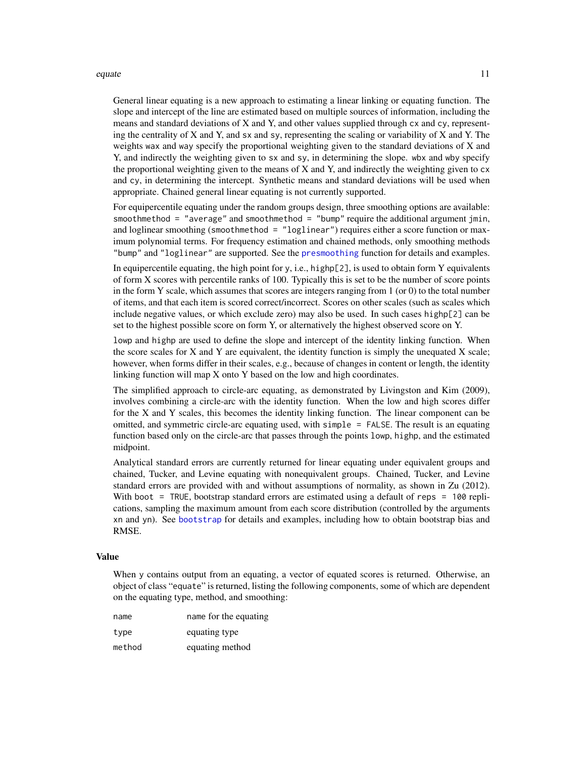#### <span id="page-10-0"></span>equate the contract of the contract of the contract of the contract of the contract of the contract of the contract of the contract of the contract of the contract of the contract of the contract of the contract of the con

General linear equating is a new approach to estimating a linear linking or equating function. The slope and intercept of the line are estimated based on multiple sources of information, including the means and standard deviations of X and Y, and other values supplied through cx and cy, representing the centrality of X and Y, and sx and sy, representing the scaling or variability of X and Y. The weights wax and way specify the proportional weighting given to the standard deviations of X and Y, and indirectly the weighting given to sx and sy, in determining the slope. wbx and wby specify the proportional weighting given to the means of X and Y, and indirectly the weighting given to cx and cy, in determining the intercept. Synthetic means and standard deviations will be used when appropriate. Chained general linear equating is not currently supported.

For equipercentile equating under the random groups design, three smoothing options are available: smoothmethod = "average" and smoothmethod = "bump" require the additional argument jmin, and loglinear smoothing (smoothmethod = "loglinear") requires either a score function or maximum polynomial terms. For frequency estimation and chained methods, only smoothing methods "bump" and "loglinear" are supported. See the [presmoothing](#page-23-1) function for details and examples.

In equipercentile equating, the high point for y, i.e., highp[2], is used to obtain form Y equivalents of form X scores with percentile ranks of 100. Typically this is set to be the number of score points in the form Y scale, which assumes that scores are integers ranging from  $1$  (or  $0$ ) to the total number of items, and that each item is scored correct/incorrect. Scores on other scales (such as scales which include negative values, or which exclude zero) may also be used. In such cases highp[2] can be set to the highest possible score on form Y, or alternatively the highest observed score on Y.

lowp and highp are used to define the slope and intercept of the identity linking function. When the score scales for  $X$  and  $Y$  are equivalent, the identity function is simply the unequated  $X$  scale; however, when forms differ in their scales, e.g., because of changes in content or length, the identity linking function will map X onto Y based on the low and high coordinates.

The simplified approach to circle-arc equating, as demonstrated by Livingston and Kim (2009), involves combining a circle-arc with the identity function. When the low and high scores differ for the X and Y scales, this becomes the identity linking function. The linear component can be omitted, and symmetric circle-arc equating used, with simple = FALSE. The result is an equating function based only on the circle-arc that passes through the points lowp, highp, and the estimated midpoint.

Analytical standard errors are currently returned for linear equating under equivalent groups and chained, Tucker, and Levine equating with nonequivalent groups. Chained, Tucker, and Levine standard errors are provided with and without assumptions of normality, as shown in Zu (2012). With boot = TRUE, bootstrap standard errors are estimated using a default of reps = 100 replications, sampling the maximum amount from each score distribution (controlled by the arguments xn and yn). See [bootstrap](#page-3-1) for details and examples, including how to obtain bootstrap bias and RMSE.

#### Value

When y contains output from an equating, a vector of equated scores is returned. Otherwise, an object of class "equate" is returned, listing the following components, some of which are dependent on the equating type, method, and smoothing:

| name   | name for the equating |
|--------|-----------------------|
| type   | equating type         |
| method | equating method       |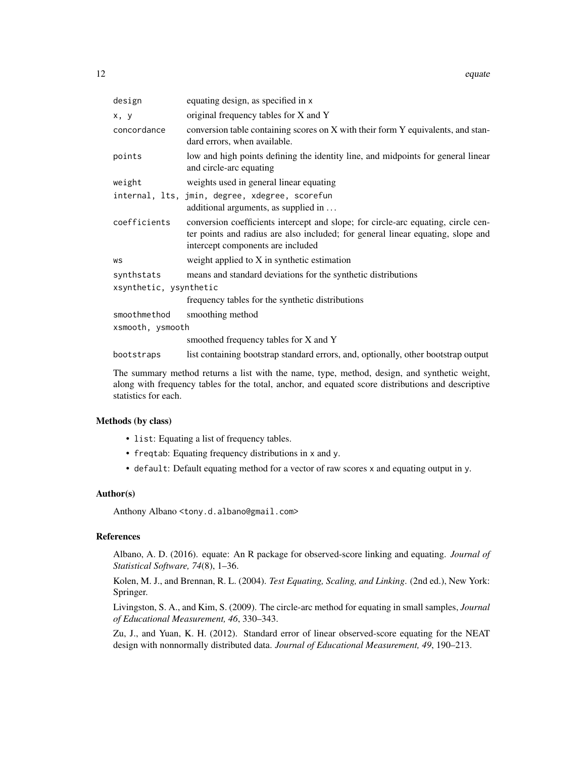| design                 | equating design, as specified in x                                                                                                                                                                        |  |
|------------------------|-----------------------------------------------------------------------------------------------------------------------------------------------------------------------------------------------------------|--|
| x, y                   | original frequency tables for X and Y                                                                                                                                                                     |  |
| concordance            | conversion table containing scores on X with their form Y equivalents, and stan-<br>dard errors, when available.                                                                                          |  |
| points                 | low and high points defining the identity line, and midpoints for general linear<br>and circle-arc equating                                                                                               |  |
| weight                 | weights used in general linear equating                                                                                                                                                                   |  |
|                        | internal, lts, jmin, degree, xdegree, scorefun                                                                                                                                                            |  |
|                        | additional arguments, as supplied in $\dots$                                                                                                                                                              |  |
| coefficients           | conversion coefficients intercept and slope; for circle-arc equating, circle cen-<br>ter points and radius are also included; for general linear equating, slope and<br>intercept components are included |  |
| WS                     | weight applied to X in synthetic estimation                                                                                                                                                               |  |
| synthstats             | means and standard deviations for the synthetic distributions                                                                                                                                             |  |
| xsynthetic, ysynthetic |                                                                                                                                                                                                           |  |
|                        | frequency tables for the synthetic distributions                                                                                                                                                          |  |
| smoothmethod           | smoothing method                                                                                                                                                                                          |  |
| xsmooth, ysmooth       |                                                                                                                                                                                                           |  |
|                        | smoothed frequency tables for X and Y                                                                                                                                                                     |  |
| bootstraps             | list containing bootstrap standard errors, and, optionally, other bootstrap output                                                                                                                        |  |

The summary method returns a list with the name, type, method, design, and synthetic weight, along with frequency tables for the total, anchor, and equated score distributions and descriptive statistics for each.

# Methods (by class)

- list: Equating a list of frequency tables.
- freqtab: Equating frequency distributions in x and y.
- default: Default equating method for a vector of raw scores x and equating output in y.

# Author(s)

Anthony Albano <tony.d.albano@gmail.com>

#### References

Albano, A. D. (2016). equate: An R package for observed-score linking and equating. *Journal of Statistical Software, 74*(8), 1–36.

Kolen, M. J., and Brennan, R. L. (2004). *Test Equating, Scaling, and Linking*. (2nd ed.), New York: Springer.

Livingston, S. A., and Kim, S. (2009). The circle-arc method for equating in small samples, *Journal of Educational Measurement, 46*, 330–343.

Zu, J., and Yuan, K. H. (2012). Standard error of linear observed-score equating for the NEAT design with nonnormally distributed data. *Journal of Educational Measurement, 49*, 190–213.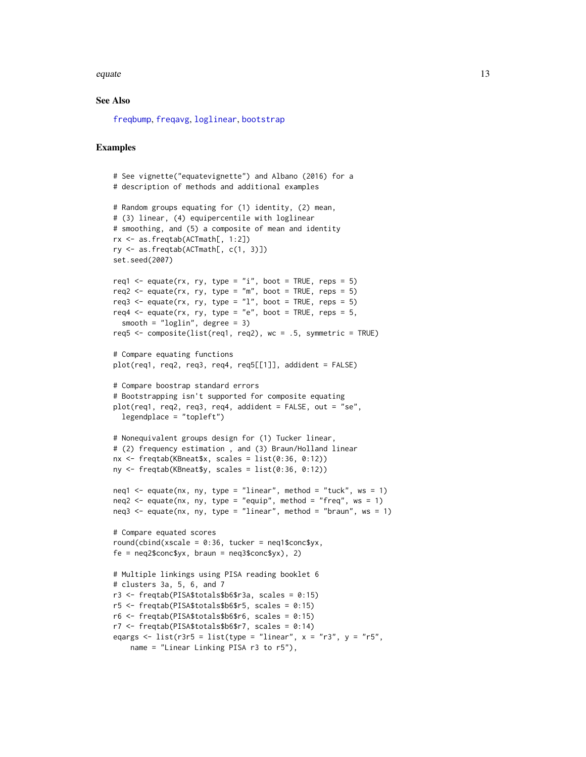#### <span id="page-12-0"></span>equate the contract of the contract of the contract of the contract of the contract of the contract of the contract of the contract of the contract of the contract of the contract of the contract of the contract of the con

#### See Also

[freqbump](#page-23-2), [freqavg](#page-23-2), [loglinear](#page-23-2), [bootstrap](#page-3-1)

#### Examples

```
# See vignette("equatevignette") and Albano (2016) for a
# description of methods and additional examples
# Random groups equating for (1) identity, (2) mean,
# (3) linear, (4) equipercentile with loglinear
# smoothing, and (5) a composite of mean and identity
rx <- as.freqtab(ACTmath[, 1:2])
ry \leq -as.freqtab(ACTmath[, c(1, 3)]set.seed(2007)
req1 <- equate(rx, ry, type = "i", boot = TRUE, reps = 5)
req2 \leq equate(rx, ry, type = "m", boot = TRUE, reps = 5)
req3 <- equate(rx, ry, type = "l", boot = TRUE, reps = 5)
req4 \leq equate(rx, ry, type = "e", boot = TRUE, reps = 5,
  smooth = "loglin", degree = 3)
req5 \leq composite(list(req1, req2), wc = .5, symmetric = TRUE)
# Compare equating functions
plot(req1, req2, req3, req4, req5[[1]], addident = FALSE)
# Compare boostrap standard errors
# Bootstrapping isn't supported for composite equating
plot(req1, req2, req3, req4, addident = FALSE, out = "se",
  legendplace = "topleft")
# Nonequivalent groups design for (1) Tucker linear,
# (2) frequency estimation , and (3) Braun/Holland linear
nx \leq - freqtab(KBneat$x, scales = list(0:36, 0:12))
ny <- freqtab(KBneat$y, scales = list(0:36, 0:12))
neq1 \leq equate(nx, ny, type = "linear", method = "tuck", ws = 1)
neq2 \leq equate(nx, ny, type = "equip", method = "freq", ws = 1)
neq3 \leq equate(nx, ny, type = "linear", method = "braun", ws = 1)
# Compare equated scores
round(cbind(xscale = 0:36, tucker = neq1$conc$yx,
fe = neq2$conc$yx, braun = neq3$conc$yx), 2)
# Multiple linkings using PISA reading booklet 6
# clusters 3a, 5, 6, and 7
r3 <- freqtab(PISA$totals$b6$r3a, scales = 0:15)
r5 \le freqtab(PISA$totals$b6$r5, scales = 0:15)
r6 <- freqtab(PISA$totals$b6$r6, scales = 0:15)
r7 <- freqtab(PISA$totals$b6$r7, scales = 0:14)
eqargs \le list(r3r5 = list(type = "linear", x = "r3", y = "r5",name = "Linear Linking PISA r3 to r5"),
```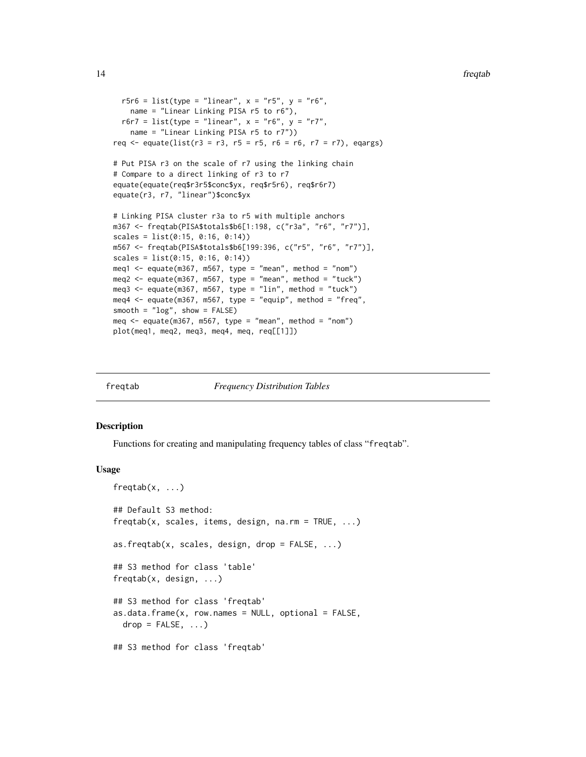```
14 frequences and the contract of the contract of the contract of the contract of the contract of the contract of the contract of the contract of the contract of the contract of the contract of the contract of the contract
```

```
r5r6 = list(type = "linear", x = "r5", y = "r6",name = "Linear Linking PISA r5 to r6"),
  r6r7 = list(type = "linear", x = "r6", y = "r7",name = "Linear Linking PISA r5 to r7"))
req <- equate(list(r3 = r3, r5 = r5, r6 = r6, r7 = r7), eqargs)
# Put PISA r3 on the scale of r7 using the linking chain
# Compare to a direct linking of r3 to r7
equate(equate(req$r3r5$conc$yx, req$r5r6), req$r6r7)
equate(r3, r7, "linear")$conc$yx
# Linking PISA cluster r3a to r5 with multiple anchors
m367 <- freqtab(PISA$totals$b6[1:198, c("r3a", "r6", "r7")],
scales = list(0:15, 0:16, 0:14))m567 <- freqtab(PISA$totals$b6[199:396, c("r5", "r6", "r7")],
scales = list(0:15, 0:16, 0:14))
meq1 <- equate(m367, m567, type = "mean", method = "nom")
meq2 <- equate(m367, m567, type = "mean", method = "tuck")
meq3 <- equate(m367, m567, type = "lin", method = "tuck")
meq4 \leq equate(m367, m567, type = "equip", method = "freq",
smooth = "log", show = FALSE)meq \leq equate(m367, m567, type = "mean", method = "nom")
plot(meq1, meq2, meq3, meq4, meq, req[[1]])
```
<span id="page-13-1"></span>

| fregtab |  |
|---------|--|
|         |  |

freqtab *Frequency Distribution Tables*

#### **Description**

Functions for creating and manipulating frequency tables of class "freqtab".

#### Usage

```
freqtab(x, \ldots)## Default S3 method:
freqtab(x, scales, items, design, na.rm = TRUE, ...)
as.freqtab(x, scales, design, drop = FALSE, ...)
## S3 method for class 'table'
freqtab(x, design, ...)
## S3 method for class 'freqtab'
as.data. frame(x, row. names = NULL, optional = FALSE,drop = FALSE, ...)## S3 method for class 'freqtab'
```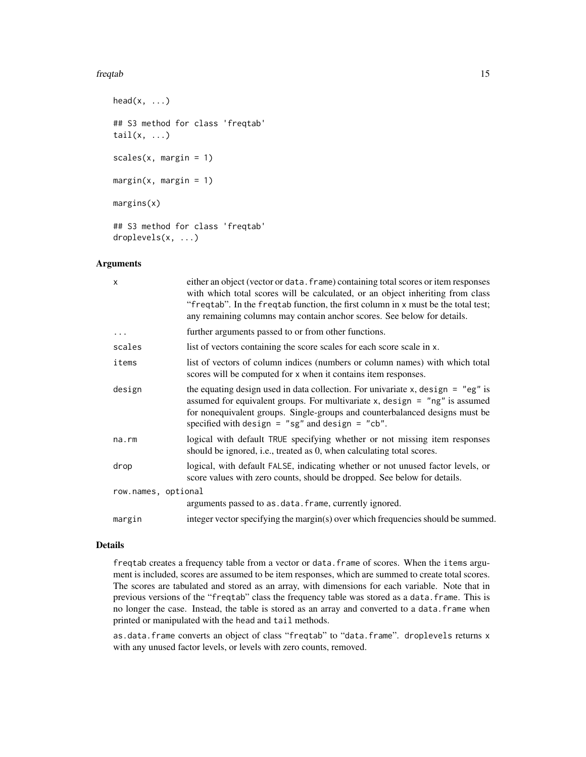#### freqtab 15

```
head(x, \ldots)## S3 method for class 'freqtab'
tail(x, \ldots)scales(x, margin = 1)
margin(x, margin = 1)margins(x)
## S3 method for class 'freqtab'
droplevels(x, ...)
```
#### Arguments

| X                   | either an object (vector or data. frame) containing total scores or item responses<br>with which total scores will be calculated, or an object inheriting from class<br>"freqtab". In the freqtab function, the first column in x must be the total test;<br>any remaining columns may contain anchor scores. See below for details. |
|---------------------|--------------------------------------------------------------------------------------------------------------------------------------------------------------------------------------------------------------------------------------------------------------------------------------------------------------------------------------|
| $\ddots$ .          | further arguments passed to or from other functions.                                                                                                                                                                                                                                                                                 |
| scales              | list of vectors containing the score scales for each score scale in x.                                                                                                                                                                                                                                                               |
| items               | list of vectors of column indices (numbers or column names) with which total<br>scores will be computed for x when it contains item responses.                                                                                                                                                                                       |
| design              | the equating design used in data collection. For univariate x, design $=$ "eg" is<br>assumed for equivalent groups. For multivariate $x$ , design = "ng" is assumed<br>for nonequivalent groups. Single-groups and counterbalanced designs must be<br>specified with design = "sg" and design = "cb".                                |
| na.rm               | logical with default TRUE specifying whether or not missing item responses<br>should be ignored, i.e., treated as 0, when calculating total scores.                                                                                                                                                                                  |
| drop                | logical, with default FALSE, indicating whether or not unused factor levels, or<br>score values with zero counts, should be dropped. See below for details.                                                                                                                                                                          |
| row.names, optional |                                                                                                                                                                                                                                                                                                                                      |
|                     | arguments passed to as . data. frame, currently ignored.                                                                                                                                                                                                                                                                             |
| margin              | integer vector specifying the margin(s) over which frequencies should be summed.                                                                                                                                                                                                                                                     |

#### Details

freqtab creates a frequency table from a vector or data.frame of scores. When the items argument is included, scores are assumed to be item responses, which are summed to create total scores. The scores are tabulated and stored as an array, with dimensions for each variable. Note that in previous versions of the "freqtab" class the frequency table was stored as a data.frame. This is no longer the case. Instead, the table is stored as an array and converted to a data.frame when printed or manipulated with the head and tail methods.

as.data.frame converts an object of class "freqtab" to "data.frame". droplevels returns x with any unused factor levels, or levels with zero counts, removed.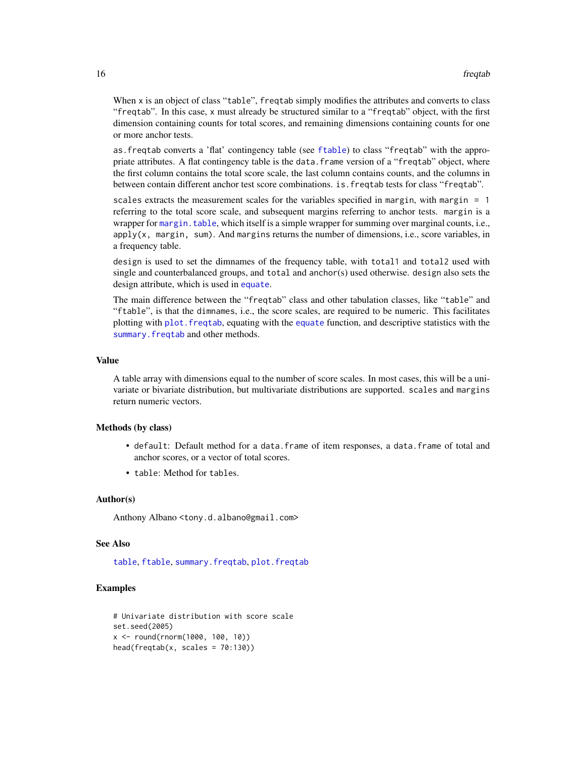<span id="page-15-0"></span>When x is an object of class "table", freqtab simply modifies the attributes and converts to class "freqtab". In this case, x must already be structured similar to a "freqtab" object, with the first dimension containing counts for total scores, and remaining dimensions containing counts for one or more anchor tests.

as.freqtab converts a 'flat' contingency table (see [ftable](#page-0-0)) to class "freqtab" with the appropriate attributes. A flat contingency table is the data.frame version of a "freqtab" object, where the first column contains the total score scale, the last column contains counts, and the columns in between contain different anchor test score combinations. is.freqtab tests for class "freqtab".

scales extracts the measurement scales for the variables specified in margin, with margin = 1 referring to the total score scale, and subsequent margins referring to anchor tests. margin is a wrapper for margin. table, which itself is a simple wrapper for summing over marginal counts, i.e.,  $apply(x, margin, sum)$ . And margins returns the number of dimensions, i.e., score variables, in a frequency table.

design is used to set the dimnames of the frequency table, with total1 and total2 used with single and counterbalanced groups, and total and anchor(s) used otherwise. design also sets the design attribute, which is used in [equate](#page-7-1).

The main difference between the "freqtab" class and other tabulation classes, like "table" and "ftable", is that the dimnames, i.e., the score scales, are required to be numeric. This facilitates plotting with [plot.freqtab](#page-22-1), equating with the [equate](#page-7-1) function, and descriptive statistics with the [summary.freqtab](#page-29-1) and other methods.

#### Value

A table array with dimensions equal to the number of score scales. In most cases, this will be a univariate or bivariate distribution, but multivariate distributions are supported. scales and margins return numeric vectors.

#### Methods (by class)

- default: Default method for a data.frame of item responses, a data.frame of total and anchor scores, or a vector of total scores.
- table: Method for tables.

#### Author(s)

Anthony Albano <tony.d.albano@gmail.com>

#### See Also

[table](#page-0-0), [ftable](#page-0-0), [summary.freqtab](#page-29-1), [plot.freqtab](#page-22-1)

# Examples

```
# Univariate distribution with score scale
set.seed(2005)
x <- round(rnorm(1000, 100, 10))
head(freqtab(x, scales = 70:130))
```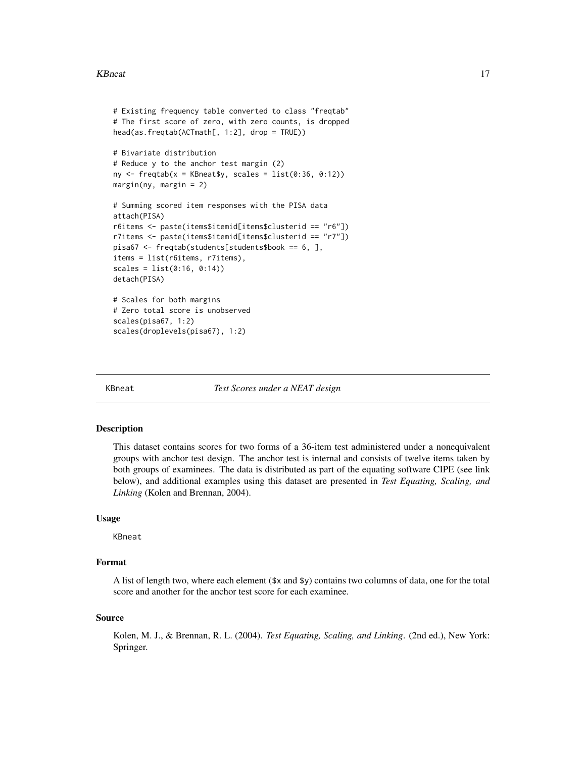#### <span id="page-16-0"></span>KBneat 17

```
# Existing frequency table converted to class "freqtab"
# The first score of zero, with zero counts, is dropped
head(as.freqtab(ACTmath[, 1:2], drop = TRUE))
# Bivariate distribution
# Reduce y to the anchor test margin (2)
ny \leftarrow \text{freqtab}(x = \text{KBneatsy}, \text{ scales} = \text{list}(0:36, 0:12))margin(ny, margin = 2)# Summing scored item responses with the PISA data
attach(PISA)
r6items <- paste(items$itemid[items$clusterid == "r6"])
r7items <- paste(items$itemid[items$clusterid == "r7"])
pisa67 <- freqtab(students[students$book == 6, ],
items = list(r6items, r7items),
scales = list(0:16, 0:14))
detach(PISA)
# Scales for both margins
# Zero total score is unobserved
scales(pisa67, 1:2)
scales(droplevels(pisa67), 1:2)
```
KBneat *Test Scores under a NEAT design*

#### Description

This dataset contains scores for two forms of a 36-item test administered under a nonequivalent groups with anchor test design. The anchor test is internal and consists of twelve items taken by both groups of examinees. The data is distributed as part of the equating software CIPE (see link below), and additional examples using this dataset are presented in *Test Equating, Scaling, and Linking* (Kolen and Brennan, 2004).

#### Usage

KBneat

#### Format

A list of length two, where each element  $(\frac{sx}{dx})$  contains two columns of data, one for the total score and another for the anchor test score for each examinee.

#### Source

Kolen, M. J., & Brennan, R. L. (2004). *Test Equating, Scaling, and Linking*. (2nd ed.), New York: Springer.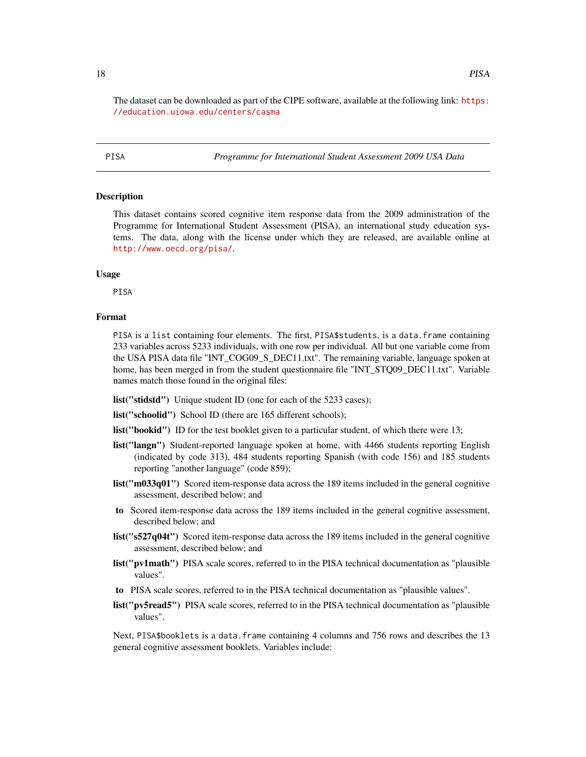<span id="page-17-0"></span>The dataset can be downloaded as part of the CIPE software, available at the following link: [https:](https://education.uiowa.edu/centers/casma) [//education.uiowa.edu/centers/casma](https://education.uiowa.edu/centers/casma)

PISA *Programme for International Student Assessment 2009 USA Data*

#### **Description**

This dataset contains scored cognitive item response data from the 2009 administration of the Programme for International Student Assessment (PISA), an international study education systems. The data, along with the license under which they are released, are available online at <http://www.oecd.org/pisa/>.

#### Usage

PISA

#### Format

PISA is a list containing four elements. The first, PISA\$ students, is a data.frame containing 233 variables across 5233 individuals, with one row per individual. All but one variable come from the USA PISA data file "INT\_COG09\_S\_DEC11.txt". The remaining variable, language spoken at home, has been merged in from the student questionnaire file "INT\_STQ09\_DEC11.txt". Variable names match those found in the original files:

list("stidstd") Unique student ID (one for each of the 5233 cases);

list("schoolid") School ID (there are 165 different schools);

list("bookid") ID for the test booklet given to a particular student, of which there were 13;

- list("langn") Student-reported language spoken at home, with 4466 students reporting English (indicated by code 313), 484 students reporting Spanish (with code 156) and 185 students reporting "another language" (code 859);
- list("m033q01") Scored item-response data across the 189 items included in the general cognitive assessment, described below; and
- to Scored item-response data across the 189 items included in the general cognitive assessment, described below; and
- list("s527q04t") Scored item-response data across the 189 items included in the general cognitive assessment, described below; and
- list("pv1math") PISA scale scores, referred to in the PISA technical documentation as "plausible values".
- to PISA scale scores, referred to in the PISA technical documentation as "plausible values".
- list("pv5read5") PISA scale scores, referred to in the PISA technical documentation as "plausible values".

Next, PISA\$booklets is a data.frame containing 4 columns and 756 rows and describes the 13 general cognitive assessment booklets. Variables include: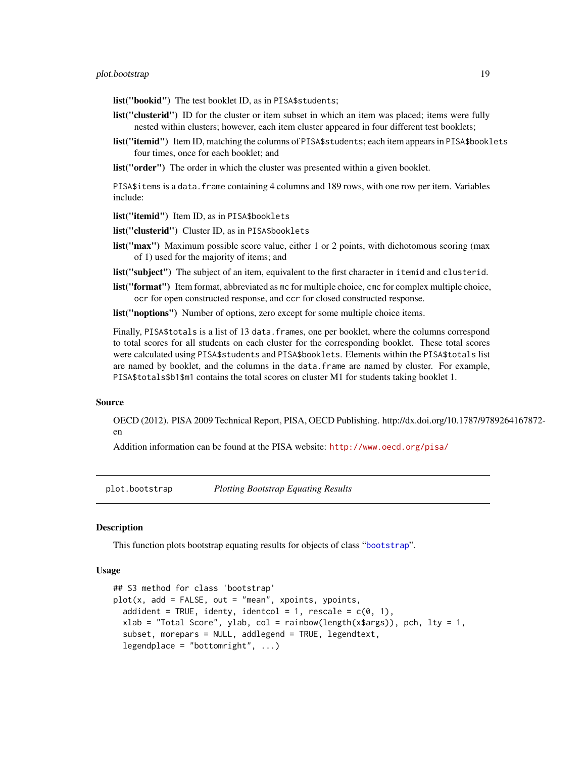<span id="page-18-0"></span>list("bookid") The test booklet ID, as in PISA\$students;

- list("clusterid") ID for the cluster or item subset in which an item was placed; items were fully nested within clusters; however, each item cluster appeared in four different test booklets;
- list("itemid") Item ID, matching the columns of PISA\$students; each item appears in PISA\$booklets four times, once for each booklet; and

list("order") The order in which the cluster was presented within a given booklet.

PISA\$items is a data.frame containing 4 columns and 189 rows, with one row per item. Variables include:

list("itemid") Item ID, as in PISA\$booklets

list("clusterid") Cluster ID, as in PISA\$booklets

list("max") Maximum possible score value, either 1 or 2 points, with dichotomous scoring (max of 1) used for the majority of items; and

list("subject") The subject of an item, equivalent to the first character in itemid and clusterid.

list("format") Item format, abbreviated as mc for multiple choice, cmc for complex multiple choice, ocr for open constructed response, and ccr for closed constructed response.

list("noptions") Number of options, zero except for some multiple choice items.

Finally, PISA\$ to tals is a list of 13 data. frames, one per booklet, where the columns correspond to total scores for all students on each cluster for the corresponding booklet. These total scores were calculated using PISA\$students and PISA\$booklets. Elements within the PISA\$totals list are named by booklet, and the columns in the data.frame are named by cluster. For example, PISA\$totals\$b1\$m1 contains the total scores on cluster M1 for students taking booklet 1.

#### Source

OECD (2012). PISA 2009 Technical Report, PISA, OECD Publishing. http://dx.doi.org/10.1787/9789264167872 en

Addition information can be found at the PISA website: <http://www.oecd.org/pisa/>

<span id="page-18-1"></span>plot.bootstrap *Plotting Bootstrap Equating Results*

#### **Description**

This function plots bootstrap equating results for objects of class "[bootstrap](#page-3-1)".

#### Usage

```
## S3 method for class 'bootstrap'
plot(x, add = FALSE, out = "mean", xpoints, ypoints,addident = TRUE, identy, identcol = 1, rescale = c(0, 1),
  xlab = "Total Score", ylab, col = rainbow(length(x$args)), pch, lty = 1,
  subset, morepars = NULL, addlegend = TRUE, legendtext,
  legendplace = "bottomright", ...)
```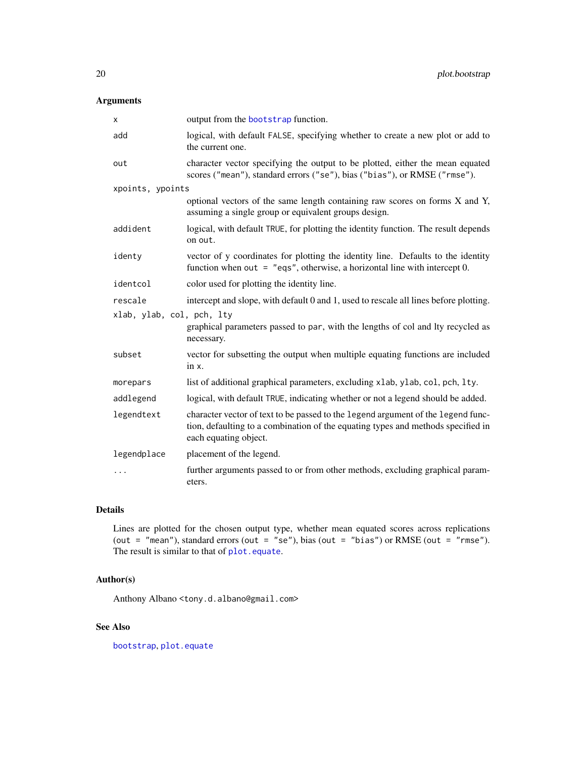# <span id="page-19-0"></span>Arguments

| X                         | output from the bootstrap function.                                                                                                                                                           |
|---------------------------|-----------------------------------------------------------------------------------------------------------------------------------------------------------------------------------------------|
| add                       | logical, with default FALSE, specifying whether to create a new plot or add to<br>the current one.                                                                                            |
| out                       | character vector specifying the output to be plotted, either the mean equated<br>scores ("mean"), standard errors ("se"), bias ("bias"), or RMSE ("rmse").                                    |
| xpoints, ypoints          |                                                                                                                                                                                               |
|                           | optional vectors of the same length containing raw scores on forms X and Y,<br>assuming a single group or equivalent groups design.                                                           |
| addident                  | logical, with default TRUE, for plotting the identity function. The result depends<br>on out.                                                                                                 |
| identy                    | vector of y coordinates for plotting the identity line. Defaults to the identity<br>function when out = $"eqs", otherwise, a horizontal line with intercept 0.$                               |
| identcol                  | color used for plotting the identity line.                                                                                                                                                    |
| rescale                   | intercept and slope, with default 0 and 1, used to rescale all lines before plotting.                                                                                                         |
| xlab, ylab, col, pch, lty |                                                                                                                                                                                               |
|                           | graphical parameters passed to par, with the lengths of col and lty recycled as<br>necessary.                                                                                                 |
| subset                    | vector for subsetting the output when multiple equating functions are included<br>in x.                                                                                                       |
| morepars                  | list of additional graphical parameters, excluding x1ab, y1ab, co1, pch, 1ty.                                                                                                                 |
| addlegend                 | logical, with default TRUE, indicating whether or not a legend should be added.                                                                                                               |
| legendtext                | character vector of text to be passed to the legend argument of the legend func-<br>tion, defaulting to a combination of the equating types and methods specified in<br>each equating object. |
| legendplace               | placement of the legend.                                                                                                                                                                      |
| .                         | further arguments passed to or from other methods, excluding graphical param-<br>eters.                                                                                                       |

# Details

Lines are plotted for the chosen output type, whether mean equated scores across replications (out = "mean"), standard errors (out = "se"), bias (out = "bias") or RMSE (out = "rmse"). The result is similar to that of [plot.equate](#page-20-1).

# Author(s)

Anthony Albano <tony.d.albano@gmail.com>

# See Also

[bootstrap](#page-3-1), [plot.equate](#page-20-1)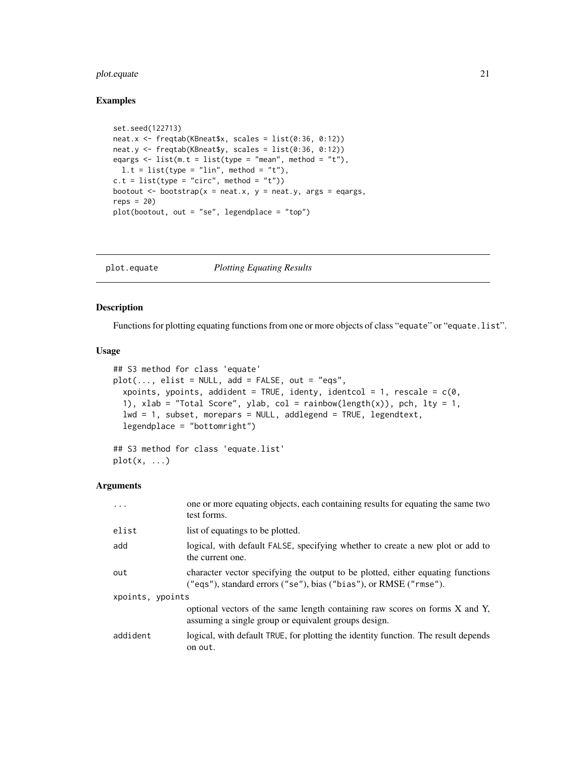# <span id="page-20-0"></span>plot.equate 21

# Examples

```
set.seed(122713)
neat.x \leq freqtab(KBneat$x, scales = list(0:36, 0:12))
neat.y <- freqtab(KBneat$y, scales = list(0:36, 0:12))
eqargs \le list(m.t = list(type = "mean", method = "t"),
 l.t = list(type = "lin", method = "t"),c.t = list(type = "circ", method = "t"))bootout \leq bootstrap(x = neat.x, y = neat.y, args = eqargs,
reps = 20plot(bootout, out = "se", legendplace = "top")
```
<span id="page-20-1"></span>plot.equate *Plotting Equating Results*

#### Description

Functions for plotting equating functions from one or more objects of class "equate" or "equate.list".

#### Usage

```
## S3 method for class 'equate'
plot(..., elist = NULL, add = FALSE, out = "eqs",xpoints, ypoints, addident = TRUE, identy, identcol = 1, rescale = c(0,1), xlab = "Total Score", ylab, col = rainbow(length(x)), pch, lty = 1,
  lwd = 1, subset, morepars = NULL, addlegend = TRUE, legendtext,
  legendplace = "bottomright")
## S3 method for class 'equate.list'
```

```
plot(x, \ldots)
```
#### Arguments

| .                | one or more equating objects, each containing results for equating the same two<br>test forms.                                                       |  |
|------------------|------------------------------------------------------------------------------------------------------------------------------------------------------|--|
| elist            | list of equatings to be plotted.                                                                                                                     |  |
| add              | logical, with default FALSE, specifying whether to create a new plot or add to<br>the current one.                                                   |  |
| out              | character vector specifying the output to be plotted, either equating functions<br>("eqs"), standard errors ("se"), bias ("bias"), or RMSE ("rmse"). |  |
| xpoints, ypoints |                                                                                                                                                      |  |
|                  | optional vectors of the same length containing raw scores on forms X and Y,<br>assuming a single group or equivalent groups design.                  |  |
| addident         | logical, with default TRUE, for plotting the identity function. The result depends<br>on out.                                                        |  |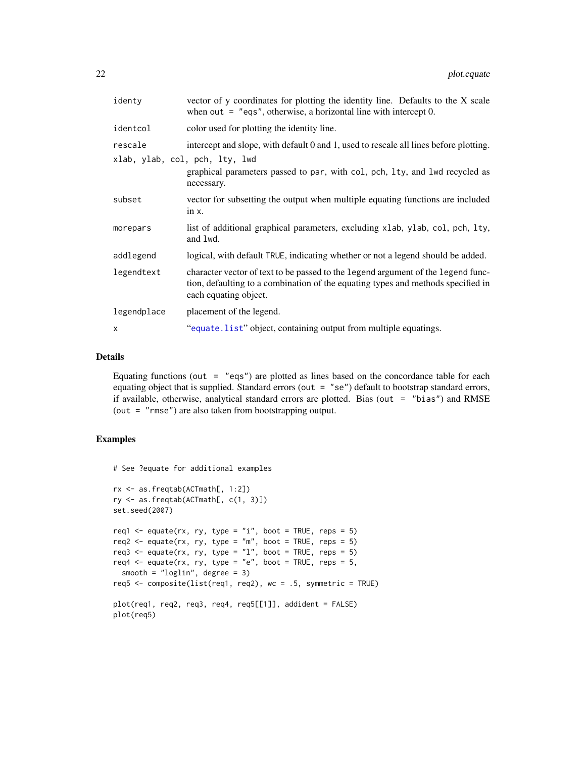<span id="page-21-0"></span>

| identy      | vector of y coordinates for plotting the identity line. Defaults to the X scale<br>when out $=$ "eqs", otherwise, a horizontal line with intercept 0.                                         |
|-------------|-----------------------------------------------------------------------------------------------------------------------------------------------------------------------------------------------|
| identcol    | color used for plotting the identity line.                                                                                                                                                    |
| rescale     | intercept and slope, with default 0 and 1, used to rescale all lines before plotting.                                                                                                         |
|             | xlab, ylab, col, pch, lty, lwd<br>graphical parameters passed to par, with col, pch, lty, and lwd recycled as<br>necessary.                                                                   |
| subset      | vector for subsetting the output when multiple equating functions are included<br>in $x$ .                                                                                                    |
| morepars    | list of additional graphical parameters, excluding xlab, ylab, col, pch, lty,<br>and lwd.                                                                                                     |
| addlegend   | logical, with default TRUE, indicating whether or not a legend should be added.                                                                                                               |
| legendtext  | character vector of text to be passed to the legend argument of the legend func-<br>tion, defaulting to a combination of the equating types and methods specified in<br>each equating object. |
| legendplace | placement of the legend.                                                                                                                                                                      |
| x           | "equate.list" object, containing output from multiple equatings.                                                                                                                              |

### Details

Equating functions (out  $=$  "eqs") are plotted as lines based on the concordance table for each equating object that is supplied. Standard errors (out  $=$  "se") default to bootstrap standard errors, if available, otherwise, analytical standard errors are plotted. Bias (out = "bias") and RMSE (out = "rmse") are also taken from bootstrapping output.

### Examples

```
# See ?equate for additional examples
```

```
rx <- as.freqtab(ACTmath[, 1:2])
ry <- as.freqtab(ACTmath[, c(1, 3)])
set.seed(2007)
req1 <- equate(rx, ry, type = "i", boot = TRUE, reps = 5)
req2 \leq equate(rx, ry, type = "m", boot = TRUE, reps = 5)
req3 <- equate(rx, ry, type = "1", boot = TRUE, reps = 5)
req4 \leq equate(rx, ry, type = "e", boot = TRUE, reps = 5,
  smooth = "loglin", degree = 3)
req5 <- composite(list(req1, req2), wc = .5, symmetric = TRUE)
plot(req1, req2, req3, req4, req5[[1]], addident = FALSE)
plot(req5)
```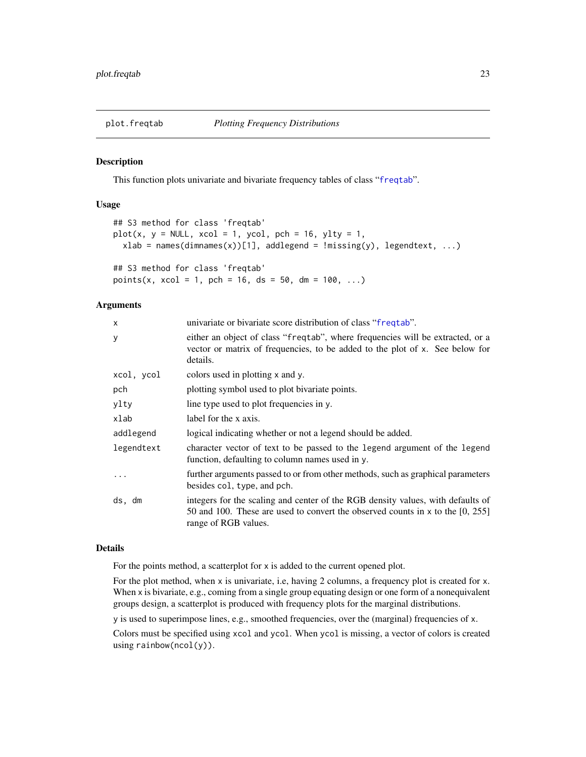<span id="page-22-1"></span><span id="page-22-0"></span>

#### Description

This function plots univariate and bivariate frequency tables of class "[freqtab](#page-13-1)".

# Usage

```
## S3 method for class 'freqtab'
plot(x, y = NULL, xcol = 1, ycol, pch = 16, ylty = 1,xlab = names(dimnames(x))[1], addlegend = !missing(y), legendtext, ...)
## S3 method for class 'freqtab'
points(x, xcol = 1, pch = 16, ds = 50, dm = 100, ...)
```
#### Arguments

| X          | univariate or bivariate score distribution of class "frequal".                                                                                                                            |
|------------|-------------------------------------------------------------------------------------------------------------------------------------------------------------------------------------------|
| у          | either an object of class "frequal", where frequencies will be extracted, or a<br>vector or matrix of frequencies, to be added to the plot of x. See below for<br>details.                |
| xcol, ycol | colors used in plotting x and y.                                                                                                                                                          |
| pch        | plotting symbol used to plot bivariate points.                                                                                                                                            |
| ylty       | line type used to plot frequencies in y.                                                                                                                                                  |
| xlab       | label for the x axis.                                                                                                                                                                     |
| addlegend  | logical indicating whether or not a legend should be added.                                                                                                                               |
| legendtext | character vector of text to be passed to the legend argument of the legend<br>function, defaulting to column names used in y.                                                             |
|            | further arguments passed to or from other methods, such as graphical parameters<br>besides col, type, and pch.                                                                            |
| ds, dm     | integers for the scaling and center of the RGB density values, with defaults of<br>50 and 100. These are used to convert the observed counts in x to the [0, 255]<br>range of RGB values. |

#### Details

For the points method, a scatterplot for x is added to the current opened plot.

For the plot method, when x is univariate, i.e, having 2 columns, a frequency plot is created for x. When x is bivariate, e.g., coming from a single group equating design or one form of a nonequivalent groups design, a scatterplot is produced with frequency plots for the marginal distributions.

y is used to superimpose lines, e.g., smoothed frequencies, over the (marginal) frequencies of x.

Colors must be specified using xcol and ycol. When ycol is missing, a vector of colors is created using rainbow(ncol(y)).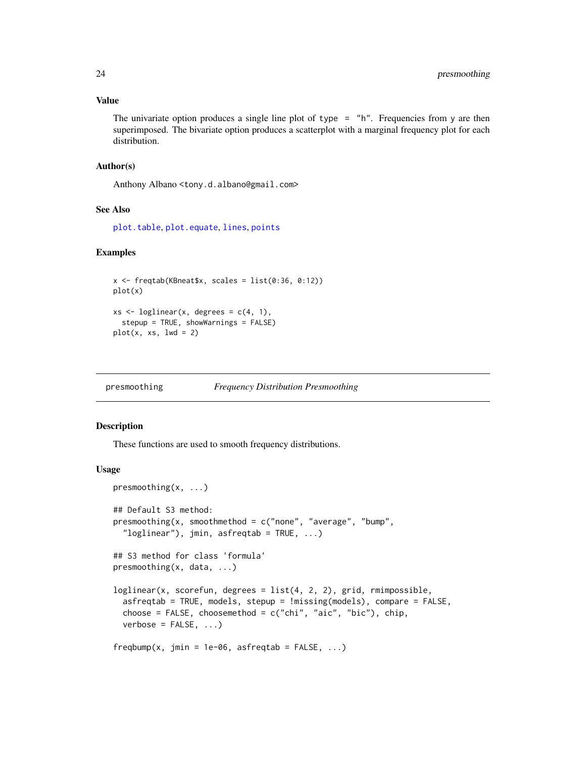### Value

The univariate option produces a single line plot of type  $=$  "h". Frequencies from y are then superimposed. The bivariate option produces a scatterplot with a marginal frequency plot for each distribution.

#### Author(s)

Anthony Albano <tony.d.albano@gmail.com>

# See Also

[plot.table](#page-0-0), [plot.equate](#page-20-1), [lines](#page-0-0), [points](#page-0-0)

# Examples

```
x \leftarrow freqtab(KBneat$x, scales = list(0:36, 0:12))
plot(x)
xs \leftarrow loglinear(x, degrees = c(4, 1),
  stepup = TRUE, showWarnings = FALSE)
plot(x, xs, lwd = 2)
```
<span id="page-23-1"></span>

| presmoothing |  | <b>Frequency Distribution Presmoothing</b> |
|--------------|--|--------------------------------------------|
|              |  |                                            |

#### <span id="page-23-2"></span>Description

These functions are used to smooth frequency distributions.

#### Usage

```
presmoothing(x, ...)
## Default S3 method:
presmoothing(x, smoothmethod = c("none", "average", "bump",
  "loglinear"), jmin, asfreqtab = TRUE, \ldots)
## S3 method for class 'formula'
presmoothing(x, data, ...)
loglinear(x, scorefun, degrees = list(4, 2, 2), grid, rimpossible,asfreqtab = TRUE, models, stepup = !missing(models), compare = FALSE,
  choose = FALSE, choosemethod = c("chi", "aic", "bic"), chip,verbose = FALSE, ...)freqbump(x, jmin = 1e-06, asfreqtab = FALSE, ...)
```
<span id="page-23-0"></span>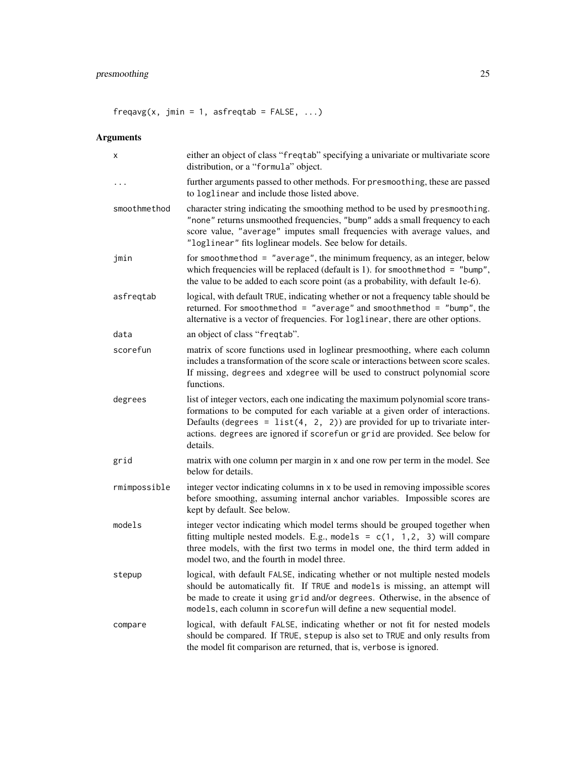$frequency(x, jmin = 1, asfreqtab = FALSE, ...)$ 

# Arguments

| X            | either an object of class "freqtab" specifying a univariate or multivariate score<br>distribution, or a "formula" object.                                                                                                                                                                                                                       |
|--------------|-------------------------------------------------------------------------------------------------------------------------------------------------------------------------------------------------------------------------------------------------------------------------------------------------------------------------------------------------|
| .            | further arguments passed to other methods. For presmoothing, these are passed<br>to loglinear and include those listed above.                                                                                                                                                                                                                   |
| smoothmethod | character string indicating the smoothing method to be used by presmoothing.<br>"none" returns unsmoothed frequencies, "bump" adds a small frequency to each<br>score value, "average" imputes small frequencies with average values, and<br>"loglinear" fits loglinear models. See below for details.                                          |
| jmin         | for smoothmethod = "average", the minimum frequency, as an integer, below<br>which frequencies will be replaced (default is 1). for smoothmethod = "bump",<br>the value to be added to each score point (as a probability, with default 1e-6).                                                                                                  |
| asfreqtab    | logical, with default TRUE, indicating whether or not a frequency table should be<br>returned. For smoothmethod = "average" and smoothmethod = "bump", the<br>alternative is a vector of frequencies. For loglinear, there are other options.                                                                                                   |
| data         | an object of class "freqtab".                                                                                                                                                                                                                                                                                                                   |
| scorefun     | matrix of score functions used in loglinear presmoothing, where each column<br>includes a transformation of the score scale or interactions between score scales.<br>If missing, degrees and xdegree will be used to construct polynomial score<br>functions.                                                                                   |
| degrees      | list of integer vectors, each one indicating the maximum polynomial score trans-<br>formations to be computed for each variable at a given order of interactions.<br>Defaults (degrees = $list(4, 2, 2)$ ) are provided for up to trivariate inter-<br>actions. degrees are ignored if scorefun or grid are provided. See below for<br>details. |
| grid         | matrix with one column per margin in x and one row per term in the model. See<br>below for details.                                                                                                                                                                                                                                             |
| rmimpossible | integer vector indicating columns in x to be used in removing impossible scores<br>before smoothing, assuming internal anchor variables. Impossible scores are<br>kept by default. See below.                                                                                                                                                   |
| models       | integer vector indicating which model terms should be grouped together when<br>fitting multiple nested models. E.g., models = $c(1, 1, 2, 3)$ will compare<br>three models, with the first two terms in model one, the third term added in<br>model two, and the fourth in model three.                                                         |
| stepup       | logical, with default FALSE, indicating whether or not multiple nested models<br>should be automatically fit. If TRUE and models is missing, an attempt will<br>be made to create it using grid and/or degrees. Otherwise, in the absence of<br>models, each column in scorefun will define a new sequential model.                             |
| compare      | logical, with default FALSE, indicating whether or not fit for nested models<br>should be compared. If TRUE, stepup is also set to TRUE and only results from<br>the model fit comparison are returned, that is, verbose is ignored.                                                                                                            |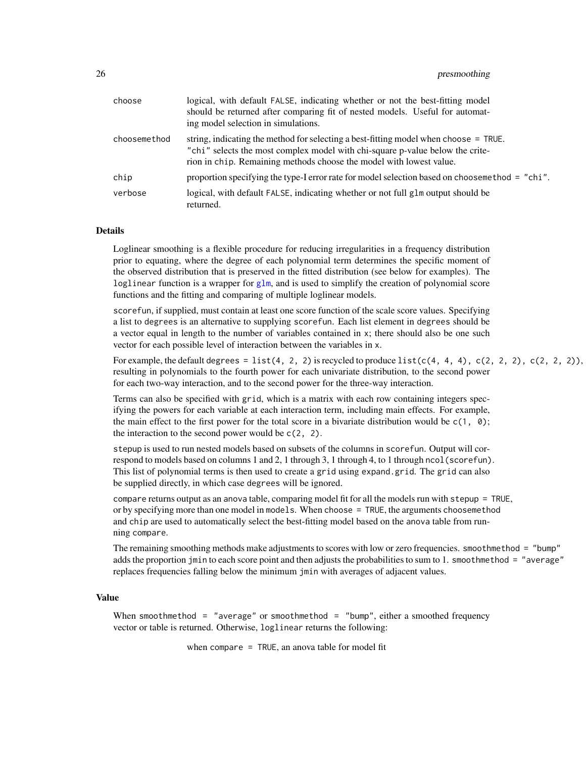<span id="page-25-0"></span>

| choose       | logical, with default FALSE, indicating whether or not the best-fitting model<br>should be returned after comparing fit of nested models. Useful for automat-<br>ing model selection in simulations.                                         |
|--------------|----------------------------------------------------------------------------------------------------------------------------------------------------------------------------------------------------------------------------------------------|
| choosemethod | string, indicating the method for selecting a best-fitting model when choose = TRUE.<br>"chi" selects the most complex model with chi-square p-value below the crite-<br>rion in chip. Remaining methods choose the model with lowest value. |
| chip         | proportion specifying the type-I error rate for model selection based on choose method = "chi".                                                                                                                                              |
| verbose      | logical, with default FALSE, indicating whether or not full glm output should be<br>returned.                                                                                                                                                |

# **Details**

Loglinear smoothing is a flexible procedure for reducing irregularities in a frequency distribution prior to equating, where the degree of each polynomial term determines the specific moment of the observed distribution that is preserved in the fitted distribution (see below for examples). The loglinear function is a wrapper for [glm](#page-0-0), and is used to simplify the creation of polynomial score functions and the fitting and comparing of multiple loglinear models.

scorefun, if supplied, must contain at least one score function of the scale score values. Specifying a list to degrees is an alternative to supplying scorefun. Each list element in degrees should be a vector equal in length to the number of variables contained in x; there should also be one such vector for each possible level of interaction between the variables in x.

For example, the default degrees = list(4, 2, 2) is recycled to produce list( $c(4, 4, 4)$ ,  $c(2, 2, 2)$ ,  $c(2, 2, 2)$ ), resulting in polynomials to the fourth power for each univariate distribution, to the second power for each two-way interaction, and to the second power for the three-way interaction.

Terms can also be specified with grid, which is a matrix with each row containing integers specifying the powers for each variable at each interaction term, including main effects. For example, the main effect to the first power for the total score in a bivariate distribution would be  $c(1, 0)$ ; the interaction to the second power would be  $c(2, 2)$ .

stepup is used to run nested models based on subsets of the columns in scorefun. Output will correspond to models based on columns 1 and 2, 1 through 3, 1 through 4, to 1 through ncol(scorefun). This list of polynomial terms is then used to create a grid using expand.grid. The grid can also be supplied directly, in which case degrees will be ignored.

compare returns output as an anova table, comparing model fit for all the models run with stepup = TRUE, or by specifying more than one model in models. When choose = TRUE, the arguments choosemethod and chip are used to automatically select the best-fitting model based on the anova table from running compare.

The remaining smoothing methods make adjustments to scores with low or zero frequencies. smoothmethod = "bump" adds the proportion jmin to each score point and then adjusts the probabilities to sum to 1. smoothmethod = "average" replaces frequencies falling below the minimum jmin with averages of adjacent values.

#### Value

When smoothmethod = "average" or smoothmethod = "bump", either a smoothed frequency vector or table is returned. Otherwise, loglinear returns the following:

when compare = TRUE, an anova table for model fit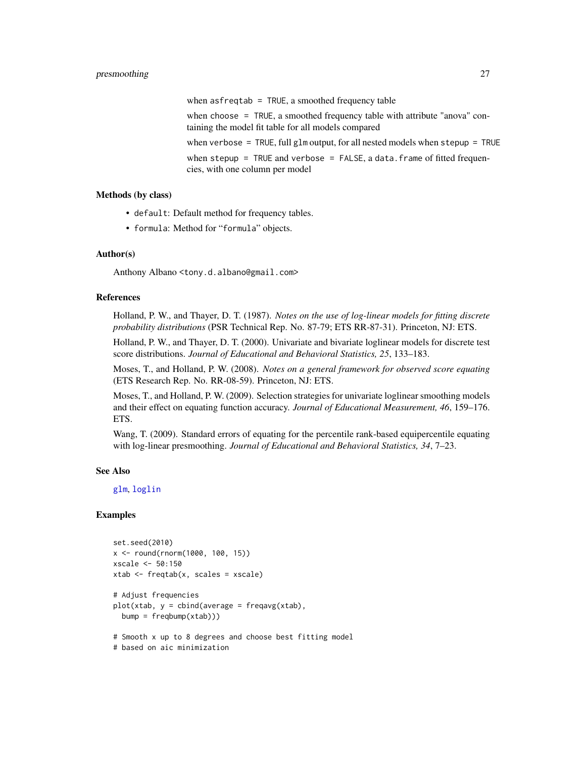<span id="page-26-0"></span>when asfreqtab = TRUE, a smoothed frequency table when choose = TRUE, a smoothed frequency table with attribute "anova" containing the model fit table for all models compared when verbose = TRUE, full glm output, for all nested models when stepup = TRUE when stepup = TRUE and verbose = FALSE, a data. frame of fitted frequencies, with one column per model

### Methods (by class)

- default: Default method for frequency tables.
- formula: Method for "formula" objects.

#### Author(s)

Anthony Albano <tony.d.albano@gmail.com>

#### References

Holland, P. W., and Thayer, D. T. (1987). *Notes on the use of log-linear models for fitting discrete probability distributions* (PSR Technical Rep. No. 87-79; ETS RR-87-31). Princeton, NJ: ETS.

Holland, P. W., and Thayer, D. T. (2000). Univariate and bivariate loglinear models for discrete test score distributions. *Journal of Educational and Behavioral Statistics, 25*, 133–183.

Moses, T., and Holland, P. W. (2008). *Notes on a general framework for observed score equating* (ETS Research Rep. No. RR-08-59). Princeton, NJ: ETS.

Moses, T., and Holland, P. W. (2009). Selection strategies for univariate loglinear smoothing models and their effect on equating function accuracy. *Journal of Educational Measurement, 46*, 159–176. ETS.

Wang, T. (2009). Standard errors of equating for the percentile rank-based equipercentile equating with log-linear presmoothing. *Journal of Educational and Behavioral Statistics, 34*, 7–23.

#### See Also

[glm](#page-0-0), [loglin](#page-0-0)

#### Examples

```
set.seed(2010)
x <- round(rnorm(1000, 100, 15))
xscale <- 50:150
xtab \leftarrow freqtab(x, scales = xscale)# Adjust frequencies
plot(xtab, y = cbind(average = frequency(xtab)),bump = freqbump(xtab))# Smooth x up to 8 degrees and choose best fitting model
# based on aic minimization
```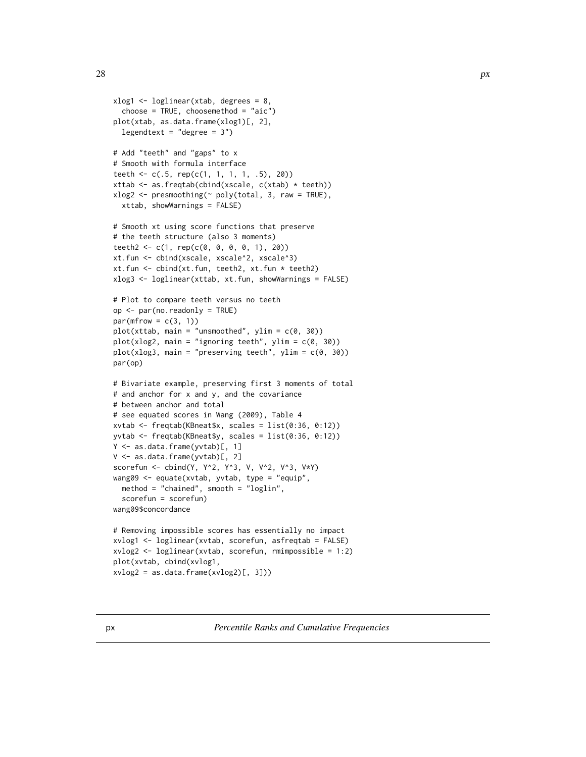```
xlog1 <- loglinear(xtab, degrees = 8,
  choose = TRUE, choosemethod = "aic")
plot(xtab, as.data.frame(xlog1)[, 2],
  legendtext = "degree = 3")
# Add "teeth" and "gaps" to x
# Smooth with formula interface
teeth <- c(.5, rep(c(1, 1, 1, 1, .5), 20))
xttab <- as.freqtab(cbind(xscale, c(xtab) * teeth))
xlog2 \le - presmoothing(\sim poly(total, 3, raw = TRUE),xttab, showWarnings = FALSE)
# Smooth xt using score functions that preserve
# the teeth structure (also 3 moments)
teeth2 <- c(1, rep(c(0, 0, 0, 0, 1), 20))
xt.fun <- cbind(xscale, xscale^2, xscale^3)
xt.fun <- cbind(xt.fun, teeth2, xt.fun * teeth2)
xlog3 <- loglinear(xttab, xt.fun, showWarnings = FALSE)
# Plot to compare teeth versus no teeth
op <- par(no.readonly = TRUE)
par(mfrow = c(3, 1))plot(xttab, main = "unsmoothed", ylim = c(0, 30))plot(xlog2, main = "ignoring teeth", ylim = c(0, 30))plot(xlog3, main = "preserving teeth", ylim = c(0, 30))
par(op)
# Bivariate example, preserving first 3 moments of total
# and anchor for x and y, and the covariance
# between anchor and total
# see equated scores in Wang (2009), Table 4
xvtab <- freqtab(KBneat$x, scales = list(0:36, 0:12))
yvtab <- freqtab(KBneat$y, scales = list(0:36, 0:12))
Y <- as.data.frame(yvtab)[, 1]
V <- as.data.frame(yvtab)[, 2]
scorefun <- cbind(Y, Y^2, Y^3, V, V^2, V^3, V*Y)
wang09 <- equate(xvtab, yvtab, type = "equip",
  method = "chained", smooth = "loglin",
  scorefun = scorefun)
wang09$concordance
# Removing impossible scores has essentially no impact
xvlog1 <- loglinear(xvtab, scorefun, asfreqtab = FALSE)
xvlog2 <- loglinear(xvtab, scorefun, rmimpossible = 1:2)
plot(xvtab, cbind(xvlog1,
xvlog2 = as.data frame(xvlog2)[, 3])
```
px *Percentile Ranks and Cumulative Frequencies*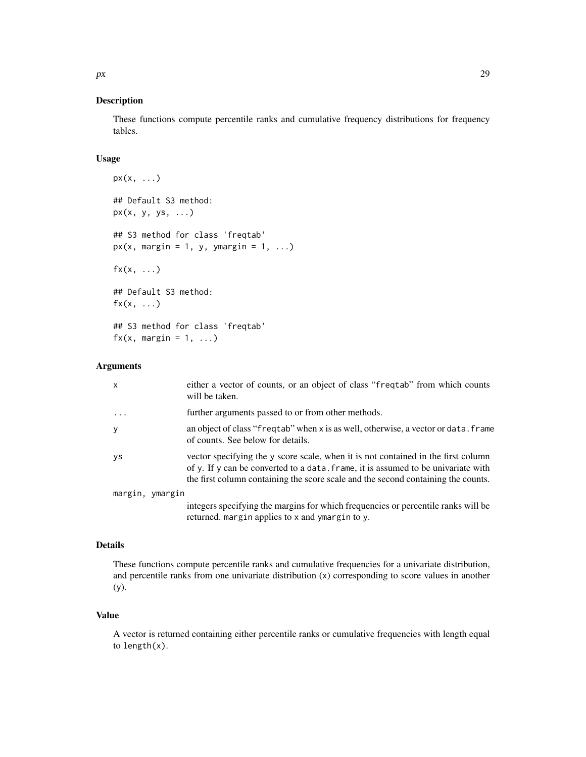#### Description

These functions compute percentile ranks and cumulative frequency distributions for frequency tables.

# Usage

```
px(x, ...)
## Default S3 method:
px(x, y, ys, ...)## S3 method for class 'freqtab'
px(x, margin = 1, y, y, margin = 1, ...)f(x, \ldots)## Default S3 method:
f(x, \ldots)## S3 method for class 'freqtab'
f(x, \text{margin} = 1, \ldots)
```
#### Arguments

| X               | either a vector of counts, or an object of class "frequal" from which counts<br>will be taken.                                                                                                                                                              |
|-----------------|-------------------------------------------------------------------------------------------------------------------------------------------------------------------------------------------------------------------------------------------------------------|
| $\ddots$ .      | further arguments passed to or from other methods.                                                                                                                                                                                                          |
| У               | an object of class "freqtab" when x is as well, otherwise, a vector or data. frame<br>of counts. See below for details.                                                                                                                                     |
| <b>ys</b>       | vector specifying the y score scale, when it is not contained in the first column<br>of y. If y can be converted to a data. frame, it is assumed to be univariate with<br>the first column containing the score scale and the second containing the counts. |
| margin, ymargin |                                                                                                                                                                                                                                                             |
|                 | integers specifying the margins for which frequencies or percentile ranks will be<br>returned. margin applies to x and ymargin to y.                                                                                                                        |

#### Details

These functions compute percentile ranks and cumulative frequencies for a univariate distribution, and percentile ranks from one univariate distribution (x) corresponding to score values in another (y).

# Value

A vector is returned containing either percentile ranks or cumulative frequencies with length equal to length(x).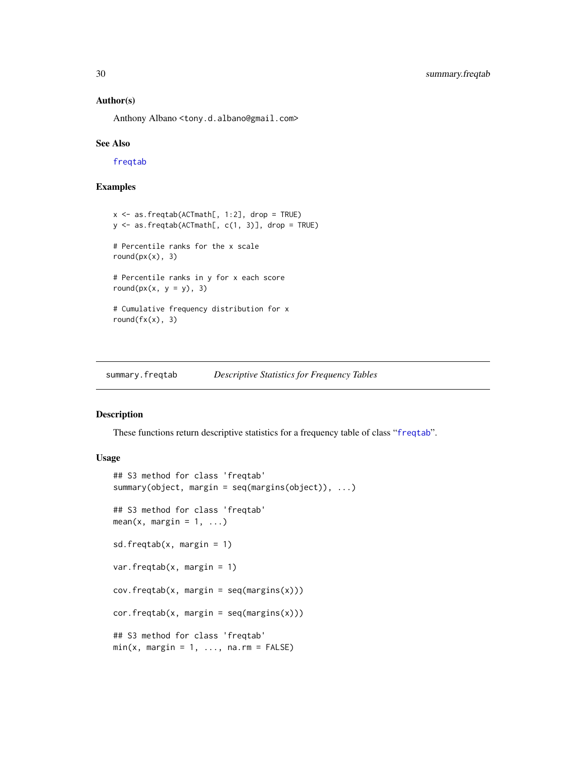#### <span id="page-29-0"></span>Author(s)

Anthony Albano <tony.d.albano@gmail.com>

#### See Also

[freqtab](#page-13-1)

#### Examples

```
x \le - as.freqtab(ACTmath[, 1:2], drop = TRUE)
y <- as.freqtab(ACTmath[, c(1, 3)], drop = TRUE)
# Percentile ranks for the x scale
round(px(x), 3)# Percentile ranks in y for x each score
round(px(x, y = y), 3)# Cumulative frequency distribution for x
round(fx(x), 3)
```
<span id="page-29-1"></span>summary.freqtab *Descriptive Statistics for Frequency Tables*

### Description

These functions return descriptive statistics for a frequency table of class "[freqtab](#page-13-1)".

# Usage

```
## S3 method for class 'freqtab'
summary(object, margin = seq(margins(object)), ...)
## S3 method for class 'freqtab'
mean(x, margin = 1, ...)sd.freqtab(x, margin = 1)
var.freqtab(x, margin = 1)
cov.freqtab(x, margin = seq(maxgins(x)))cor.freqtab(x, margin = seq(maxgins(x)))## S3 method for class 'freqtab'
min(x, margin = 1, ..., na.rm = FALSE)
```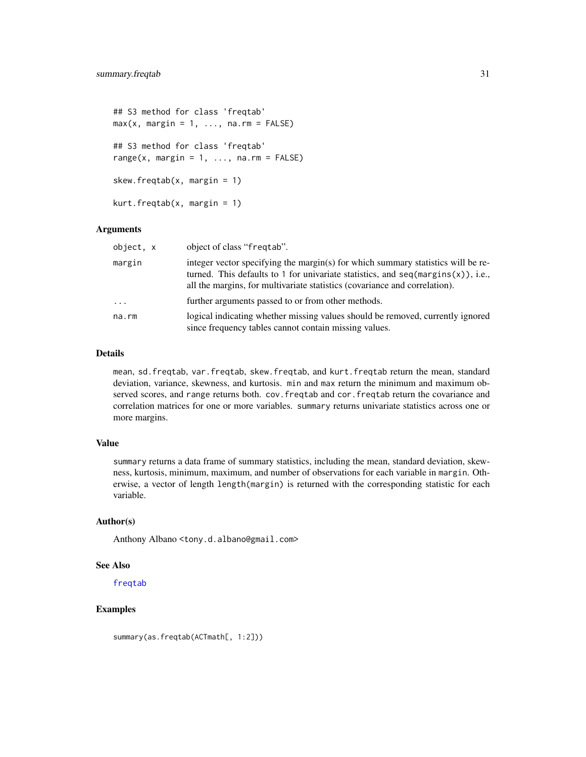```
## S3 method for class 'freqtab'
max(x, margin = 1, ..., na.rm = FALSE)## S3 method for class 'freqtab'
range(x, margin = 1, \ldots, na.rm = FALSE)
skew.freqtab(x, margin = 1)
kurt.freqtab(x, margin = 1)
```
#### Arguments

| object, x | object of class "freqtab".                                                                                                                                                                                                                            |
|-----------|-------------------------------------------------------------------------------------------------------------------------------------------------------------------------------------------------------------------------------------------------------|
| margin    | integer vector specifying the margin(s) for which summary statistics will be re-<br>turned. This defaults to 1 for univariate statistics, and $seq(maxgins(x))$ , i.e.,<br>all the margins, for multivariate statistics (covariance and correlation). |
| $\cdots$  | further arguments passed to or from other methods.                                                                                                                                                                                                    |
| na.rm     | logical indicating whether missing values should be removed, currently ignored<br>since frequency tables cannot contain missing values.                                                                                                               |

# Details

mean, sd.freqtab, var.freqtab, skew.freqtab, and kurt.freqtab return the mean, standard deviation, variance, skewness, and kurtosis. min and max return the minimum and maximum observed scores, and range returns both. cov.freqtab and cor.freqtab return the covariance and correlation matrices for one or more variables. summary returns univariate statistics across one or more margins.

#### Value

summary returns a data frame of summary statistics, including the mean, standard deviation, skewness, kurtosis, minimum, maximum, and number of observations for each variable in margin. Otherwise, a vector of length length(margin) is returned with the corresponding statistic for each variable.

### Author(s)

Anthony Albano <tony.d.albano@gmail.com>

#### See Also

[freqtab](#page-13-1)

# Examples

summary(as.freqtab(ACTmath[, 1:2]))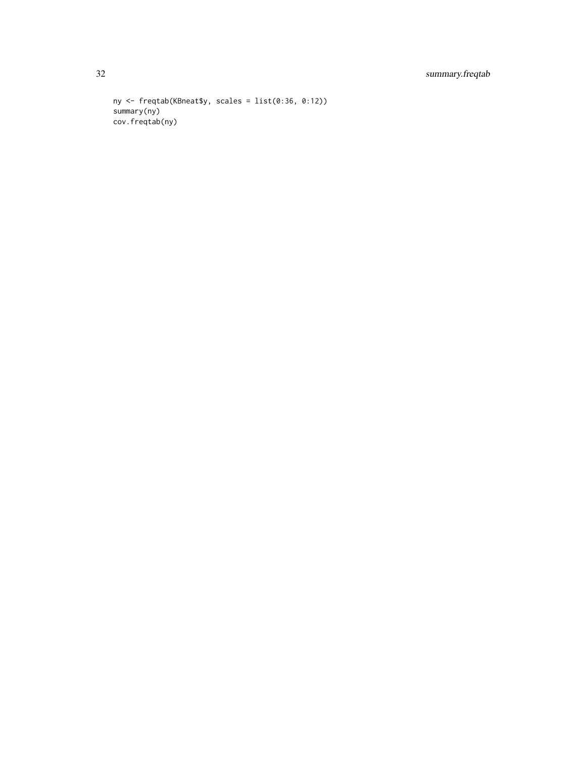# 32 summary.freqtab

```
ny <- freqtab(KBneat$y, scales = list(0:36, 0:12))
summary(ny)
cov.freqtab(ny)
```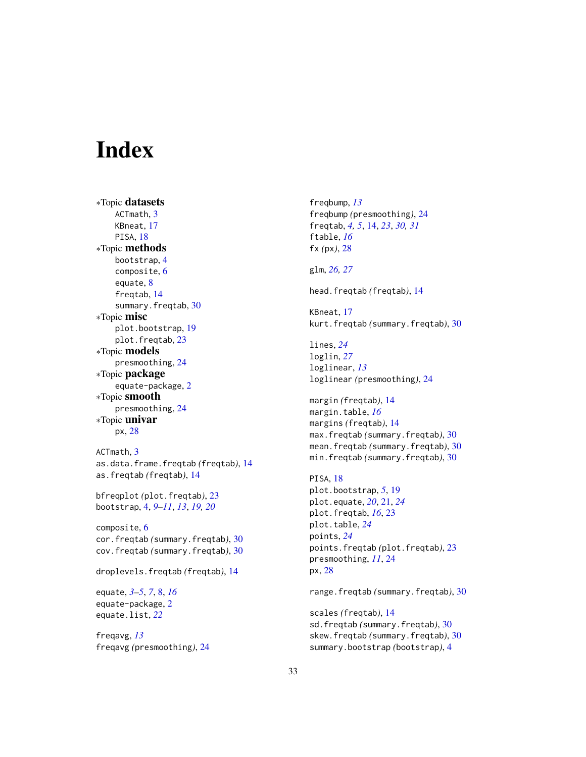# <span id="page-32-0"></span>**Index**

∗Topic datasets ACTmath, [3](#page-2-0) KBneat, [17](#page-16-0) PISA, [18](#page-17-0) ∗Topic methods bootstrap, [4](#page-3-0) composite, [6](#page-5-0) equate, [8](#page-7-0) freqtab, [14](#page-13-0) summary.freqtab, [30](#page-29-0) ∗Topic misc plot.bootstrap, [19](#page-18-0) plot.freqtab, [23](#page-22-0) ∗Topic models presmoothing, [24](#page-23-0) ∗Topic package equate-package, [2](#page-1-0) ∗Topic smooth presmoothing, [24](#page-23-0) ∗Topic univar px, [28](#page-27-0) ACTmath, [3](#page-2-0) as.data.frame.freqtab *(*freqtab*)*, [14](#page-13-0) as.freqtab *(*freqtab*)*, [14](#page-13-0) bfreqplot *(*plot.freqtab*)*, [23](#page-22-0) bootstrap, [4,](#page-3-0) *[9](#page-8-0)[–11](#page-10-0)*, *[13](#page-12-0)*, *[19,](#page-18-0) [20](#page-19-0)* composite, [6](#page-5-0) cor.freqtab *(*summary.freqtab*)*, [30](#page-29-0) cov.freqtab *(*summary.freqtab*)*, [30](#page-29-0) droplevels.freqtab *(*freqtab*)*, [14](#page-13-0) equate, *[3](#page-2-0)[–5](#page-4-0)*, *[7](#page-6-0)*, [8,](#page-7-0) *[16](#page-15-0)* equate-package, [2](#page-1-0)

freqavg, *[13](#page-12-0)* freqavg *(*presmoothing*)*, [24](#page-23-0)

equate.list, *[22](#page-21-0)*

freqbump, *[13](#page-12-0)* freqbump *(*presmoothing*)*, [24](#page-23-0) freqtab, *[4,](#page-3-0) [5](#page-4-0)*, [14,](#page-13-0) *[23](#page-22-0)*, *[30,](#page-29-0) [31](#page-30-0)* ftable, *[16](#page-15-0)* fx *(*px*)*, [28](#page-27-0) glm, *[26,](#page-25-0) [27](#page-26-0)* head.freqtab *(*freqtab*)*, [14](#page-13-0) KBneat, [17](#page-16-0) kurt.freqtab *(*summary.freqtab*)*, [30](#page-29-0) lines, *[24](#page-23-0)* loglin, *[27](#page-26-0)* loglinear, *[13](#page-12-0)* loglinear *(*presmoothing*)*, [24](#page-23-0) margin *(*freqtab*)*, [14](#page-13-0) margin.table, *[16](#page-15-0)* margins *(*freqtab*)*, [14](#page-13-0) max.freqtab *(*summary.freqtab*)*, [30](#page-29-0) mean.freqtab *(*summary.freqtab*)*, [30](#page-29-0) min.freqtab *(*summary.freqtab*)*, [30](#page-29-0) PISA, [18](#page-17-0) plot.bootstrap, *[5](#page-4-0)*, [19](#page-18-0) plot.equate, *[20](#page-19-0)*, [21,](#page-20-0) *[24](#page-23-0)* plot.freqtab, *[16](#page-15-0)*, [23](#page-22-0) plot.table, *[24](#page-23-0)* points, *[24](#page-23-0)* points.freqtab *(*plot.freqtab*)*, [23](#page-22-0) presmoothing, *[11](#page-10-0)*, [24](#page-23-0) px, [28](#page-27-0) range.freqtab *(*summary.freqtab*)*, [30](#page-29-0)

scales *(*freqtab*)*, [14](#page-13-0) sd.freqtab *(*summary.freqtab*)*, [30](#page-29-0) skew.freqtab *(*summary.freqtab*)*, [30](#page-29-0) summary.bootstrap *(*bootstrap*)*, [4](#page-3-0)